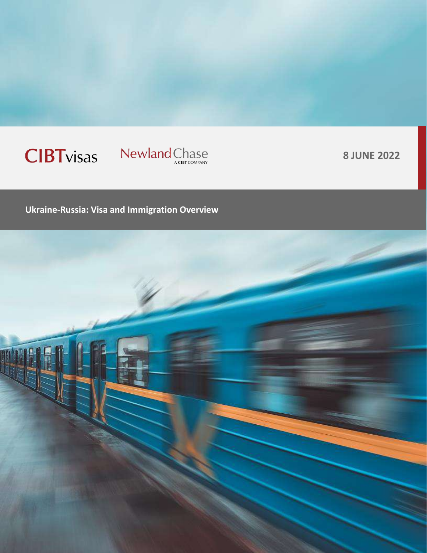# **CIBT**visas

# Newland Chase

**8 JUNE 2022**

**Ukraine-Russia: Visa and Immigration Overview**

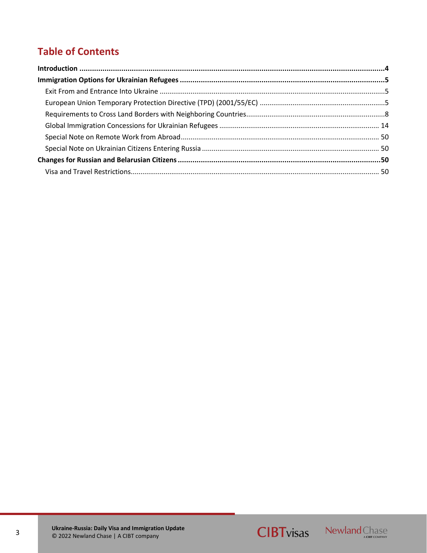# <span id="page-2-0"></span>**Table of Contents**



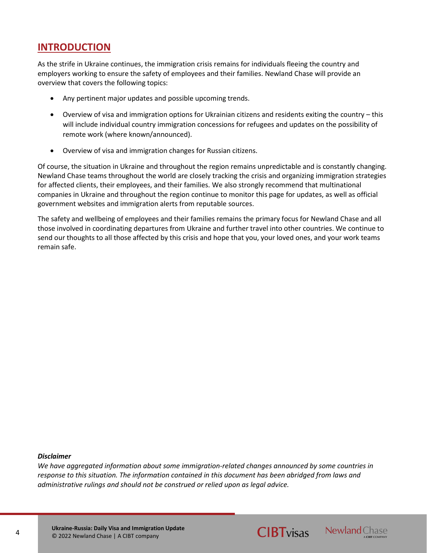## <span id="page-3-0"></span>**INTRODUCTION**

As the strife in Ukraine continues, the immigration crisis remains for individuals fleeing the country and employers working to ensure the safety of employees and their families. Newland Chase will provide an overview that covers the following topics:

- Any pertinent major updates and possible upcoming trends.
- Overview of visa and immigration options for Ukrainian citizens and residents exiting the country this will include individual country immigration concessions for refugees and updates on the possibility of remote work (where known/announced).
- Overview of visa and immigration changes for Russian citizens.

Of course, the situation in Ukraine and throughout the region remains unpredictable and is constantly changing. Newland Chase teams throughout the world are closely tracking the crisis and organizing immigration strategies for affected clients, their employees, and their families. We also strongly recommend that multinational companies in Ukraine and throughout the region continue to monitor this page for updates, as well as official government websites and immigration alerts from reputable sources.

The safety and wellbeing of employees and their families remains the primary focus for Newland Chase and all those involved in coordinating departures from Ukraine and further travel into other countries. We continue to send our thoughts to all those affected by this crisis and hope that you, your loved ones, and your work teams remain safe.

#### *Disclaimer*

*We have aggregated information about some immigration-related changes announced by some countries in response to this situation. The information contained in this document has been abridged from laws and administrative rulings and should not be construed or relied upon as legal advice.*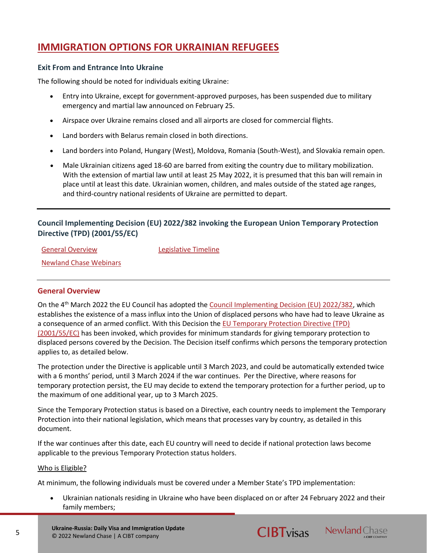# <span id="page-4-0"></span>**IMMIGRATION OPTIONS FOR UKRAINIAN REFUGEES**

## <span id="page-4-1"></span>**Exit From and Entrance Into Ukraine**

The following should be noted for individuals exiting Ukraine:

- Entry into Ukraine, except for government-approved purposes, has been suspended due to military emergency and martial law announced on February 25.
- Airspace over Ukraine remains closed and all airports are closed for commercial flights.
- Land borders with Belarus remain closed in both directions.
- Land borders into Poland, Hungary (West), Moldova, Romania (South-West), and Slovakia remain open.
- Male Ukrainian citizens aged 18-60 are barred from exiting the country due to military mobilization. With the extension of martial law until at least 25 May 2022, it is presumed that this ban will remain in place until at least this date. Ukrainian women, children, and males outside of the stated age ranges, and third-country national residents of Ukraine are permitted to depart.

## <span id="page-4-2"></span>**Council Implementing Decision (EU) 2022/382 invoking the European Union Temporary Protection Directive (TPD) (2001/55/EC)**

[General Overview](#page-4-3) [Legislative Timeline](#page-6-0) [Newland Chase Webinars](#page-7-1)

## <span id="page-4-3"></span>**General Overview**

On the 4th March 2022 the EU Council has adopted the [Council Implementing Decision \(EU\) 2022/382,](https://eur-lex.europa.eu/legal-content/EN/TXT/?uri=celex:32022D0382) which establishes the existence of a mass influx into the Union of displaced persons who have had to leave Ukraine as a consequence of an armed conflict. With this Decision the [EU Temporary Protection Directive \(TPD\)](https://eur-lex.europa.eu/legal-content/EN/TXT/?uri=celex%3A32001L0055)  [\(2001/55/EC\)](https://eur-lex.europa.eu/legal-content/EN/TXT/?uri=celex%3A32001L0055) has been invoked, which provides for minimum standards for giving temporary protection to displaced persons covered by the Decision. The Decision itself confirms which persons the temporary protection applies to, as detailed below.

The protection under the Directive is applicable until 3 March 2023, and could be automatically extended twice with a 6 months' period, until 3 March 2024 if the war continues. Per the Directive, where reasons for temporary protection persist, the EU may decide to extend the temporary protection for a further period, up to the maximum of one additional year, up to 3 March 2025.

Since the Temporary Protection status is based on a Directive, each country needs to implement the Temporary Protection into their national legislation, which means that processes vary by country, as detailed in this document.

If the war continues after this date, each EU country will need to decide if national protection laws become applicable to the previous Temporary Protection status holders.

#### Who is Eligible?

At minimum, the following individuals must be covered under a Member State's TPD implementation:

• Ukrainian nationals residing in Ukraine who have been displaced on or after 24 February 2022 and their family members;



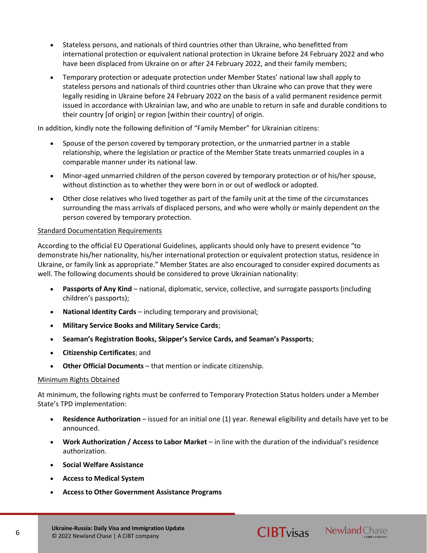- Stateless persons, and nationals of third countries other than Ukraine, who benefitted from international protection or equivalent national protection in Ukraine before 24 February 2022 and who have been displaced from Ukraine on or after 24 February 2022, and their family members;
- Temporary protection or adequate protection under Member States' national law shall apply to stateless persons and nationals of third countries other than Ukraine who can prove that they were legally residing in Ukraine before 24 February 2022 on the basis of a valid permanent residence permit issued in accordance with Ukrainian law, and who are unable to return in safe and durable conditions to their country [of origin] or region [within their country] of origin.

In addition, kindly note the following definition of "Family Member" for Ukrainian citizens:

- Spouse of the person covered by temporary protection, or the unmarried partner in a stable relationship, where the legislation or practice of the Member State treats unmarried couples in a comparable manner under its national law.
- Minor-aged unmarried children of the person covered by temporary protection or of his/her spouse, without distinction as to whether they were born in or out of wedlock or adopted.
- Other close relatives who lived together as part of the family unit at the time of the circumstances surrounding the mass arrivals of displaced persons, and who were wholly or mainly dependent on the person covered by temporary protection.

## Standard Documentation Requirements

According to the official EU Operational Guidelines, applicants should only have to present evidence "to demonstrate his/her nationality, his/her international protection or equivalent protection status, residence in Ukraine, or family link as appropriate." Member States are also encouraged to consider expired documents as well. The following documents should be considered to prove Ukrainian nationality:

- **Passports of Any Kind** national, diplomatic, service, collective, and surrogate passports (including children's passports);
- **National Identity Cards** including temporary and provisional;
- **Military Service Books and Military Service Cards**;
- **Seaman's Registration Books, Skipper's Service Cards, and Seaman's Passports**;
- **Citizenship Certificates**; and
- **Other Official Documents** that mention or indicate citizenship.

#### Minimum Rights Obtained

At minimum, the following rights must be conferred to Temporary Protection Status holders under a Member State's TPD implementation:

- **Residence Authorization** issued for an initial one (1) year. Renewal eligibility and details have yet to be announced.
- **Work Authorization / Access to Labor Market** in line with the duration of the individual's residence authorization.
- **Social Welfare Assistance**
- **Access to Medical System**
- **Access to Other Government Assistance Programs**



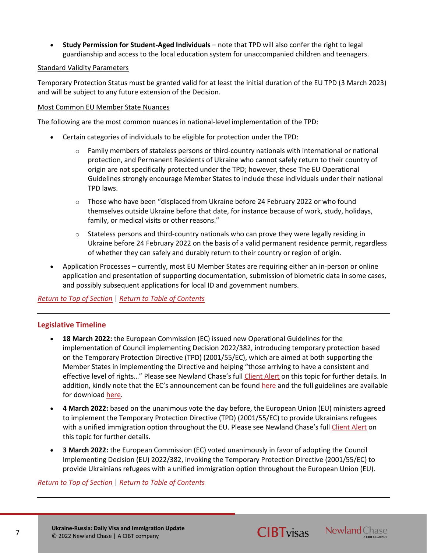• **Study Permission for Student-Aged Individuals** – note that TPD will also confer the right to legal guardianship and access to the local education system for unaccompanied children and teenagers.

## Standard Validity Parameters

Temporary Protection Status must be granted valid for at least the initial duration of the EU TPD (3 March 2023) and will be subject to any future extension of the Decision.

## Most Common EU Member State Nuances

The following are the most common nuances in national-level implementation of the TPD:

- Certain categories of individuals to be eligible for protection under the TPD:
	- $\circ$  Family members of stateless persons or third-country nationals with international or national protection, and Permanent Residents of Ukraine who cannot safely return to their country of origin are not specifically protected under the TPD; however, these The EU Operational Guidelines strongly encourage Member States to include these individuals under their national TPD laws.
	- o Those who have been "displaced from Ukraine before 24 February 2022 or who found themselves outside Ukraine before that date, for instance because of work, study, holidays, family, or medical visits or other reasons."
	- $\circ$  Stateless persons and third-country nationals who can prove they were legally residing in Ukraine before 24 February 2022 on the basis of a valid permanent residence permit, regardless of whether they can safely and durably return to their country or region of origin.
- Application Processes currently, most EU Member States are requiring either an in-person or online application and presentation of supporting documentation, submission of biometric data in some cases, and possibly subsequent applications for local ID and government numbers.

## *[Return to Top of Section](#page-4-2)* | *[Return to Table of Contents](#page-2-0)*

## <span id="page-6-0"></span>**Legislative Timeline**

- **18 March 2022:** the European Commission (EC) issued new Operational Guidelines for the implementation of Council implementing Decision 2022/382, introducing temporary protection based on the Temporary Protection Directive (TPD) (2001/55/EC), which are aimed at both supporting the Member States in implementing the Directive and helping "those arriving to have a consistent and effective level of rights..." Please see Newland Chase's full [Client Alert](https://newlandchase.com/european-union-and-ukraine-eu-issues-operational-guidelines-for-temporary-protection-directive-tpd-2001-55-ec/) on this topic for further details. In addition, kindly note that the EC's announcement can be found [here](https://ec.europa.eu/commission/presscorner/detail/en/ip_22_1727) and the full guidelines are available for downloa[d here.](https://ec.europa.eu/home-affairs/communication-operational-guidelines-establishing-existence-mass-influx-displaced-persons-ukraine_en)
- **4 March 2022:** based on the unanimous vote the day before, the European Union (EU) ministers agreed to implement the Temporary Protection Directive (TPD) (2001/55/EC) to provide Ukrainians refugees with a unified immigration option throughout the EU. Please see Newland Chase's full [Client Alert](https://newlandchase.com/european-union-and-ukraine-eu-adopts-temporary-protection-directive-for-ukrainian-citizens-initial-information-announced/) on this topic for further details.
- **3 March 2022:** the European Commission (EC) voted unanimously in favor of adopting the Council Implementing Decision (EU) 2022/382, invoking the Temporary Protection Directive (2001/55/EC) to provide Ukrainians refugees with a unified immigration option throughout the European Union (EU).

## *[Return to Top of Section](#page-4-2)* | *[Return to Table of Contents](#page-2-0)*

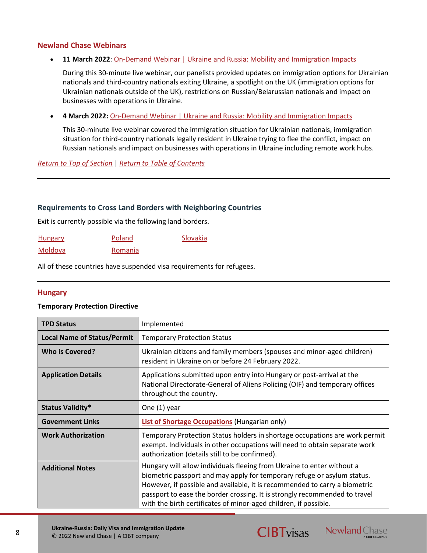## <span id="page-7-1"></span>**Newland Chase Webinars**

### • **11 March 2022**: [On-Demand Webinar | Ukraine and Russia: Mobility and Immigration Impacts](https://resources.newlandchase.com/Ukraine-Russia-Mobility-Immigration-Impacts-11-Mar-Webinar)

During this 30-minute live webinar, our panelists provided updates on immigration options for Ukrainian nationals and third-country nationals exiting Ukraine, a spotlight on the UK (immigration options for Ukrainian nationals outside of the UK), restrictions on Russian/Belarussian nationals and impact on businesses with operations in Ukraine.

• **4 March 2022:** [On-Demand Webinar | Ukraine and Russia: Mobility and Immigration Impacts](https://resources.newlandchase.com/Ukraine-Russia-Mobility-Immigration-Impacts-Webinar)

This 30-minute live webinar covered the immigration situation for Ukrainian nationals, immigration situation for third-country nationals legally resident in Ukraine trying to flee the conflict, impact on Russian nationals and impact on businesses with operations in Ukraine including remote work hubs.

*[Return to Top of Section](#page-4-2)* | *[Return to Table of Contents](#page-2-0)*

### <span id="page-7-0"></span>**Requirements to Cross Land Borders with Neighboring Countries**

Exit is currently possible via the following land borders.

| <b>Hungary</b> | Poland  | Slovakia |
|----------------|---------|----------|
| Moldova        | Romania |          |

All of these countries have suspended visa requirements for refugees.

## <span id="page-7-2"></span>**Hungary**

#### **Temporary Protection Directive**

| <b>TPD Status</b>                  | Implemented                                                                                                                                                                                                                                                                                                                                                                       |
|------------------------------------|-----------------------------------------------------------------------------------------------------------------------------------------------------------------------------------------------------------------------------------------------------------------------------------------------------------------------------------------------------------------------------------|
| <b>Local Name of Status/Permit</b> | <b>Temporary Protection Status</b>                                                                                                                                                                                                                                                                                                                                                |
| <b>Who is Covered?</b>             | Ukrainian citizens and family members (spouses and minor-aged children)<br>resident in Ukraine on or before 24 February 2022.                                                                                                                                                                                                                                                     |
| <b>Application Details</b>         | Applications submitted upon entry into Hungary or post-arrival at the<br>National Directorate-General of Aliens Policing (OIF) and temporary offices<br>throughout the country.                                                                                                                                                                                                   |
| <b>Status Validity*</b>            | One (1) year                                                                                                                                                                                                                                                                                                                                                                      |
| <b>Government Links</b>            | List of Shortage Occupations (Hungarian only)                                                                                                                                                                                                                                                                                                                                     |
| <b>Work Authorization</b>          | Temporary Protection Status holders in shortage occupations are work permit<br>exempt. Individuals in other occupations will need to obtain separate work<br>authorization (details still to be confirmed).                                                                                                                                                                       |
| <b>Additional Notes</b>            | Hungary will allow individuals fleeing from Ukraine to enter without a<br>biometric passport and may apply for temporary refuge or asylum status.<br>However, if possible and available, it is recommended to carry a biometric<br>passport to ease the border crossing. It is strongly recommended to travel<br>with the birth certificates of minor-aged children, if possible. |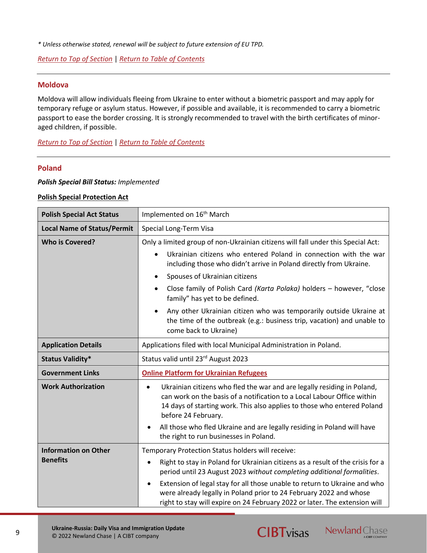*[Return to Top of Section](#page-4-2)* | *[Return to Table of Contents](#page-2-0)*

### <span id="page-8-1"></span>**Moldova**

Moldova will allow individuals fleeing from Ukraine to enter without a biometric passport and may apply for temporary refuge or asylum status. However, if possible and available, it is recommended to carry a biometric passport to ease the border crossing. It is strongly recommended to travel with the birth certificates of minoraged children, if possible.

*[Return to Top of Section](#page-4-2)* | *[Return to Table of Contents](#page-2-0)*

### <span id="page-8-0"></span>**Poland**

### *Polish Special Bill Status: Implemented*

#### **Polish Special Protection Act**

| <b>Polish Special Act Status</b>   | Implemented on 16 <sup>th</sup> March                                                                                                                                                                                                                                                                                                                                                                                                                                                                                                                       |  |
|------------------------------------|-------------------------------------------------------------------------------------------------------------------------------------------------------------------------------------------------------------------------------------------------------------------------------------------------------------------------------------------------------------------------------------------------------------------------------------------------------------------------------------------------------------------------------------------------------------|--|
| <b>Local Name of Status/Permit</b> | Special Long-Term Visa                                                                                                                                                                                                                                                                                                                                                                                                                                                                                                                                      |  |
| <b>Who is Covered?</b>             | Only a limited group of non-Ukrainian citizens will fall under this Special Act:<br>Ukrainian citizens who entered Poland in connection with the war<br>including those who didn't arrive in Poland directly from Ukraine.<br>Spouses of Ukrainian citizens<br>Close family of Polish Card (Karta Polaka) holders - however, "close<br>$\bullet$<br>family" has yet to be defined.<br>Any other Ukrainian citizen who was temporarily outside Ukraine at<br>the time of the outbreak (e.g.: business trip, vacation) and unable to<br>come back to Ukraine) |  |
| <b>Application Details</b>         | Applications filed with local Municipal Administration in Poland.                                                                                                                                                                                                                                                                                                                                                                                                                                                                                           |  |
| <b>Status Validity*</b>            | Status valid until 23rd August 2023                                                                                                                                                                                                                                                                                                                                                                                                                                                                                                                         |  |
| <b>Government Links</b>            | <b>Online Platform for Ukrainian Refugees</b>                                                                                                                                                                                                                                                                                                                                                                                                                                                                                                               |  |
| <b>Work Authorization</b>          | Ukrainian citizens who fled the war and are legally residing in Poland,<br>$\bullet$<br>can work on the basis of a notification to a Local Labour Office within<br>14 days of starting work. This also applies to those who entered Poland<br>before 24 February.<br>All those who fled Ukraine and are legally residing in Poland will have<br>$\bullet$<br>the right to run businesses in Poland.                                                                                                                                                         |  |
| <b>Information on Other</b>        | Temporary Protection Status holders will receive:                                                                                                                                                                                                                                                                                                                                                                                                                                                                                                           |  |
| <b>Benefits</b>                    | Right to stay in Poland for Ukrainian citizens as a result of the crisis for a<br>$\bullet$<br>period until 23 August 2023 without completing additional formalities.<br>Extension of legal stay for all those unable to return to Ukraine and who<br>$\bullet$<br>were already legally in Poland prior to 24 February 2022 and whose<br>right to stay will expire on 24 February 2022 or later. The extension will                                                                                                                                         |  |



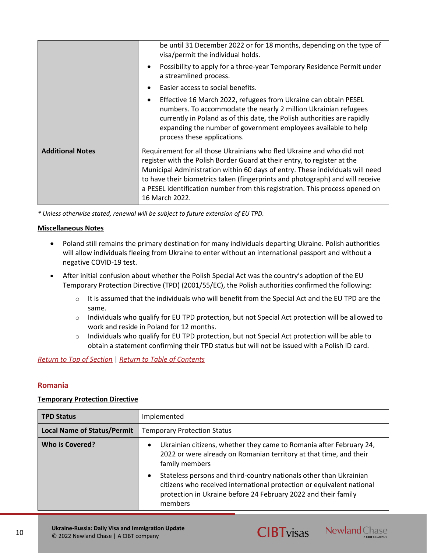|                         | be until 31 December 2022 or for 18 months, depending on the type of<br>visa/permit the individual holds.<br>Possibility to apply for a three-year Temporary Residence Permit under<br>$\bullet$<br>a streamlined process.                                                                                                                                                                                            |
|-------------------------|-----------------------------------------------------------------------------------------------------------------------------------------------------------------------------------------------------------------------------------------------------------------------------------------------------------------------------------------------------------------------------------------------------------------------|
|                         | Easier access to social benefits.                                                                                                                                                                                                                                                                                                                                                                                     |
|                         | Effective 16 March 2022, refugees from Ukraine can obtain PESEL<br>$\bullet$<br>numbers. To accommodate the nearly 2 million Ukrainian refugees<br>currently in Poland as of this date, the Polish authorities are rapidly<br>expanding the number of government employees available to help<br>process these applications.                                                                                           |
| <b>Additional Notes</b> | Requirement for all those Ukrainians who fled Ukraine and who did not<br>register with the Polish Border Guard at their entry, to register at the<br>Municipal Administration within 60 days of entry. These individuals will need<br>to have their biometrics taken (fingerprints and photograph) and will receive<br>a PESEL identification number from this registration. This process opened on<br>16 March 2022. |

## **Miscellaneous Notes**

- Poland still remains the primary destination for many individuals departing Ukraine. Polish authorities will allow individuals fleeing from Ukraine to enter without an international passport and without a negative COVID-19 test.
- After initial confusion about whether the Polish Special Act was the country's adoption of the EU Temporary Protection Directive (TPD) (2001/55/EC), the Polish authorities confirmed the following:
	- $\circ$  It is assumed that the individuals who will benefit from the Special Act and the EU TPD are the same.
	- $\circ$  Individuals who qualify for EU TPD protection, but not Special Act protection will be allowed to work and reside in Poland for 12 months.
	- $\circ$  Individuals who qualify for EU TPD protection, but not Special Act protection will be able to obtain a statement confirming their TPD status but will not be issued with a Polish ID card.

#### *[Return to Top of Section](#page-4-2)* | *[Return to Table of Contents](#page-2-0)*

## <span id="page-9-0"></span>**Romania**

## **Temporary Protection Directive**

| <b>TPD Status</b>                  | Implemented                                                                                                                                                                                                                           |  |
|------------------------------------|---------------------------------------------------------------------------------------------------------------------------------------------------------------------------------------------------------------------------------------|--|
| <b>Local Name of Status/Permit</b> | <b>Temporary Protection Status</b>                                                                                                                                                                                                    |  |
| Who is Covered?                    | Ukrainian citizens, whether they came to Romania after February 24,<br>$\bullet$<br>2022 or were already on Romanian territory at that time, and their<br>family members                                                              |  |
|                                    | Stateless persons and third-country nationals other than Ukrainian<br>$\bullet$<br>citizens who received international protection or equivalent national<br>protection in Ukraine before 24 February 2022 and their family<br>members |  |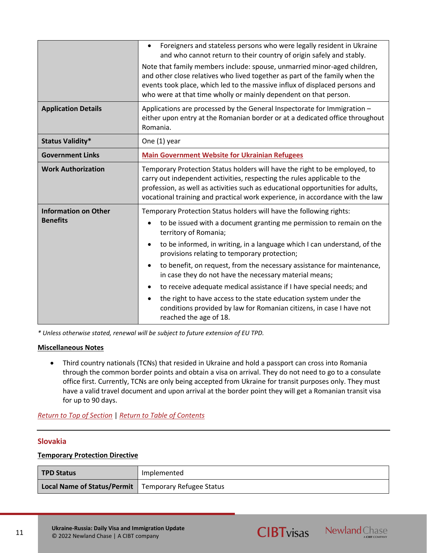|                                                | Foreigners and stateless persons who were legally resident in Ukraine<br>$\bullet$<br>and who cannot return to their country of origin safely and stably.<br>Note that family members include: spouse, unmarried minor-aged children,                                                                                      |  |
|------------------------------------------------|----------------------------------------------------------------------------------------------------------------------------------------------------------------------------------------------------------------------------------------------------------------------------------------------------------------------------|--|
|                                                | and other close relatives who lived together as part of the family when the<br>events took place, which led to the massive influx of displaced persons and<br>who were at that time wholly or mainly dependent on that person.                                                                                             |  |
| <b>Application Details</b>                     | Applications are processed by the General Inspectorate for Immigration -<br>either upon entry at the Romanian border or at a dedicated office throughout<br>Romania.                                                                                                                                                       |  |
| <b>Status Validity*</b>                        | One (1) year                                                                                                                                                                                                                                                                                                               |  |
| <b>Government Links</b>                        | <b>Main Government Website for Ukrainian Refugees</b>                                                                                                                                                                                                                                                                      |  |
| <b>Work Authorization</b>                      | Temporary Protection Status holders will have the right to be employed, to<br>carry out independent activities, respecting the rules applicable to the<br>profession, as well as activities such as educational opportunities for adults,<br>vocational training and practical work experience, in accordance with the law |  |
| <b>Information on Other</b><br><b>Benefits</b> | Temporary Protection Status holders will have the following rights:<br>to be issued with a document granting me permission to remain on the<br>territory of Romania;                                                                                                                                                       |  |
|                                                | to be informed, in writing, in a language which I can understand, of the<br>provisions relating to temporary protection;                                                                                                                                                                                                   |  |
|                                                | to benefit, on request, from the necessary assistance for maintenance,<br>$\bullet$<br>in case they do not have the necessary material means;                                                                                                                                                                              |  |
|                                                | to receive adequate medical assistance if I have special needs; and                                                                                                                                                                                                                                                        |  |
|                                                | the right to have access to the state education system under the<br>conditions provided by law for Romanian citizens, in case I have not<br>reached the age of 18.                                                                                                                                                         |  |

## **Miscellaneous Notes**

• Third country nationals (TCNs) that resided in Ukraine and hold a passport can cross into Romania through the common border points and obtain a visa on arrival. They do not need to go to a consulate office first. Currently, TCNs are only being accepted from Ukraine for transit purposes only. They must have a valid travel document and upon arrival at the border point they will get a Romanian transit visa for up to 90 days.

*[Return to Top of Section](#page-4-2)* | *[Return to Table of Contents](#page-2-0)*

## <span id="page-10-0"></span>**Slovakia**

## **Temporary Protection Directive**

| <b>TPD Status</b>                                      | Implemented |
|--------------------------------------------------------|-------------|
| Local Name of Status/Permit   Temporary Refugee Status |             |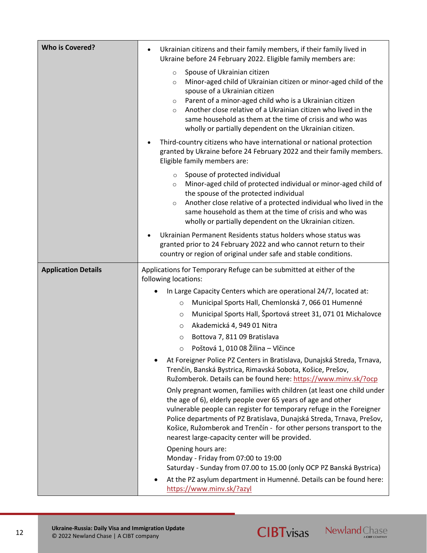| <b>Who is Covered?</b>     | Ukrainian citizens and their family members, if their family lived in<br>$\bullet$<br>Ukraine before 24 February 2022. Eligible family members are:                                                                                                                                                                                                                                                                              |
|----------------------------|----------------------------------------------------------------------------------------------------------------------------------------------------------------------------------------------------------------------------------------------------------------------------------------------------------------------------------------------------------------------------------------------------------------------------------|
|                            | Spouse of Ukrainian citizen<br>$\circ$<br>Minor-aged child of Ukrainian citizen or minor-aged child of the<br>$\circ$<br>spouse of a Ukrainian citizen<br>Parent of a minor-aged child who is a Ukrainian citizen<br>$\circ$<br>Another close relative of a Ukrainian citizen who lived in the<br>$\circ$<br>same household as them at the time of crisis and who was<br>wholly or partially dependent on the Ukrainian citizen. |
|                            | Third-country citizens who have international or national protection<br>granted by Ukraine before 24 February 2022 and their family members.<br>Eligible family members are:                                                                                                                                                                                                                                                     |
|                            | Spouse of protected individual<br>$\circ$<br>Minor-aged child of protected individual or minor-aged child of<br>$\circ$<br>the spouse of the protected individual<br>Another close relative of a protected individual who lived in the<br>$\circ$<br>same household as them at the time of crisis and who was<br>wholly or partially dependent on the Ukrainian citizen.                                                         |
|                            | Ukrainian Permanent Residents status holders whose status was<br>granted prior to 24 February 2022 and who cannot return to their<br>country or region of original under safe and stable conditions.                                                                                                                                                                                                                             |
| <b>Application Details</b> | Applications for Temporary Refuge can be submitted at either of the<br>following locations:                                                                                                                                                                                                                                                                                                                                      |
|                            | In Large Capacity Centers which are operational 24/7, located at:<br>Municipal Sports Hall, Chemlonská 7, 066 01 Humenné<br>$\circ$<br>Municipal Sports Hall, Športová street 31, 071 01 Michalovce<br>$\circ$<br>Akademická 4, 949 01 Nitra<br>O<br>Bottova 7, 811 09 Bratislava<br>$\circ$<br>Poštová 1, 010 08 Žilina – Vlčince<br>$\circ$                                                                                    |
|                            | At Foreigner Police PZ Centers in Bratislava, Dunajská Streda, Trnava,<br>Trenčín, Banská Bystrica, Rimavská Sobota, Košice, Prešov,<br>Ružomberok. Details can be found here: https://www.minv.sk/?ocp                                                                                                                                                                                                                          |
|                            | Only pregnant women, families with children (at least one child under<br>the age of 6), elderly people over 65 years of age and other<br>vulnerable people can register for temporary refuge in the Foreigner<br>Police departments of PZ Bratislava, Dunajská Streda, Trnava, Prešov,<br>Košice, Ružomberok and Trenčín - for other persons transport to the<br>nearest large-capacity center will be provided.                 |
|                            | Opening hours are:<br>Monday - Friday from 07:00 to 19:00<br>Saturday - Sunday from 07.00 to 15.00 (only OCP PZ Banská Bystrica)                                                                                                                                                                                                                                                                                                 |
|                            | At the PZ asylum department in Humenné. Details can be found here:<br>https://www.minv.sk/?azyl                                                                                                                                                                                                                                                                                                                                  |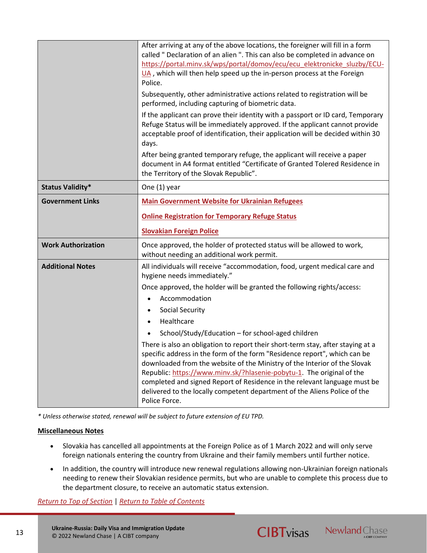|                           | After arriving at any of the above locations, the foreigner will fill in a form<br>called " Declaration of an alien ". This can also be completed in advance on<br>https://portal.minv.sk/wps/portal/domov/ecu/ecu elektronicke sluzby/ECU-<br>UA, which will then help speed up the in-person process at the Foreign<br>Police.<br>Subsequently, other administrative actions related to registration will be<br>performed, including capturing of biometric data.<br>If the applicant can prove their identity with a passport or ID card, Temporary<br>Refuge Status will be immediately approved. If the applicant cannot provide<br>acceptable proof of identification, their application will be decided within 30<br>days.<br>After being granted temporary refuge, the applicant will receive a paper<br>document in A4 format entitled "Certificate of Granted Tolered Residence in<br>the Territory of the Slovak Republic". |
|---------------------------|----------------------------------------------------------------------------------------------------------------------------------------------------------------------------------------------------------------------------------------------------------------------------------------------------------------------------------------------------------------------------------------------------------------------------------------------------------------------------------------------------------------------------------------------------------------------------------------------------------------------------------------------------------------------------------------------------------------------------------------------------------------------------------------------------------------------------------------------------------------------------------------------------------------------------------------|
| <b>Status Validity*</b>   | One (1) year                                                                                                                                                                                                                                                                                                                                                                                                                                                                                                                                                                                                                                                                                                                                                                                                                                                                                                                           |
| <b>Government Links</b>   | <b>Main Government Website for Ukrainian Refugees</b>                                                                                                                                                                                                                                                                                                                                                                                                                                                                                                                                                                                                                                                                                                                                                                                                                                                                                  |
|                           | <b>Online Registration for Temporary Refuge Status</b>                                                                                                                                                                                                                                                                                                                                                                                                                                                                                                                                                                                                                                                                                                                                                                                                                                                                                 |
|                           | <b>Slovakian Foreign Police</b>                                                                                                                                                                                                                                                                                                                                                                                                                                                                                                                                                                                                                                                                                                                                                                                                                                                                                                        |
| <b>Work Authorization</b> | Once approved, the holder of protected status will be allowed to work,<br>without needing an additional work permit.                                                                                                                                                                                                                                                                                                                                                                                                                                                                                                                                                                                                                                                                                                                                                                                                                   |
| <b>Additional Notes</b>   | All individuals will receive "accommodation, food, urgent medical care and<br>hygiene needs immediately."                                                                                                                                                                                                                                                                                                                                                                                                                                                                                                                                                                                                                                                                                                                                                                                                                              |
|                           | Once approved, the holder will be granted the following rights/access:                                                                                                                                                                                                                                                                                                                                                                                                                                                                                                                                                                                                                                                                                                                                                                                                                                                                 |
|                           | Accommodation<br>$\bullet$                                                                                                                                                                                                                                                                                                                                                                                                                                                                                                                                                                                                                                                                                                                                                                                                                                                                                                             |
|                           | <b>Social Security</b>                                                                                                                                                                                                                                                                                                                                                                                                                                                                                                                                                                                                                                                                                                                                                                                                                                                                                                                 |
|                           | Healthcare<br>$\bullet$                                                                                                                                                                                                                                                                                                                                                                                                                                                                                                                                                                                                                                                                                                                                                                                                                                                                                                                |
|                           | School/Study/Education - for school-aged children<br>$\bullet$<br>There is also an obligation to report their short-term stay, after staying at a<br>specific address in the form of the form "Residence report", which can be<br>downloaded from the website of the Ministry of the Interior of the Slovak<br>Republic: https://www.minv.sk/?hlasenie-pobytu-1. The original of the                                                                                                                                                                                                                                                                                                                                                                                                                                                                                                                                                   |

## **Miscellaneous Notes**

- Slovakia has cancelled all appointments at the Foreign Police as of 1 March 2022 and will only serve foreign nationals entering the country from Ukraine and their family members until further notice.
- In addition, the country will introduce new renewal regulations allowing non-Ukrainian foreign nationals needing to renew their Slovakian residence permits, but who are unable to complete this process due to the department closure, to receive an automatic status extension.

*[Return to Top of Section](#page-4-2)* | *[Return to Table of Contents](#page-2-0)*



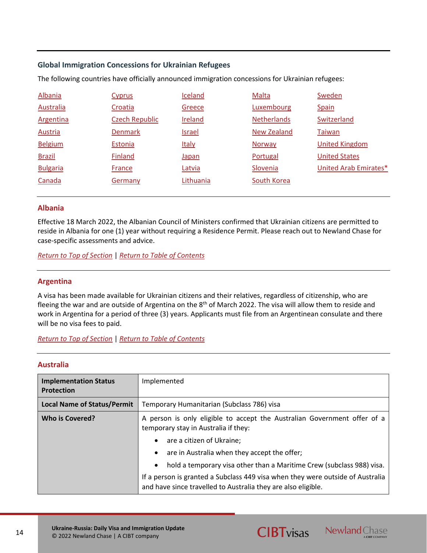## <span id="page-13-0"></span>**Global Immigration Concessions for Ukrainian Refugees**

The following countries have officially announced immigration concessions for Ukrainian refugees:

| Albania          | <b>Cyprus</b>         | Iceland        | Malta              | Sweden                |
|------------------|-----------------------|----------------|--------------------|-----------------------|
| <b>Australia</b> | Croatia               | Greece         | Luxembourg         | Spain                 |
| <b>Argentina</b> | <b>Czech Republic</b> | <b>Ireland</b> | <b>Netherlands</b> | Switzerland           |
| <b>Austria</b>   | <b>Denmark</b>        | <b>Israel</b>  | <b>New Zealand</b> | Taiwan                |
| <b>Belgium</b>   | Estonia               | <b>Italy</b>   | <b>Norway</b>      | <b>United Kingdom</b> |
| <b>Brazil</b>    | Finland               | Japan          | Portugal           | <b>United States</b>  |
| <b>Bulgaria</b>  | France                | Latvia         | Slovenia           | United Arab Emirates* |
| Canada           | Germany               | Lithuania      | South Korea        |                       |
|                  |                       |                |                    |                       |

## <span id="page-13-2"></span><span id="page-13-1"></span>**Albania**

Effective 18 March 2022, the Albanian Council of Ministers confirmed that Ukrainian citizens are permitted to reside in Albania for one (1) year without requiring a Residence Permit. Please reach out to Newland Chase for case-specific assessments and advice.

*[Return to Top of Section](#page-13-0)* | *[Return to Table of Contents](#page-2-0)*

## <span id="page-13-3"></span>**Argentina**

A visa has been made available for Ukrainian citizens and their relatives, regardless of citizenship, who are fleeing the war and are outside of Argentina on the 8<sup>th</sup> of March 2022. The visa will allow them to reside and work in Argentina for a period of three (3) years. Applicants must file from an Argentinean consulate and there will be no visa fees to paid.

## *[Return to Top of Section](#page-13-0)* | *[Return to Table of Contents](#page-2-0)*

## **Australia**

| <b>Implementation Status</b><br><b>Protection</b> | Implemented                                                                                                                                     |  |
|---------------------------------------------------|-------------------------------------------------------------------------------------------------------------------------------------------------|--|
| <b>Local Name of Status/Permit</b>                | Temporary Humanitarian (Subclass 786) visa                                                                                                      |  |
| <b>Who is Covered?</b>                            | A person is only eligible to accept the Australian Government offer of a<br>temporary stay in Australia if they:                                |  |
|                                                   | are a citizen of Ukraine;<br>$\bullet$                                                                                                          |  |
|                                                   | • are in Australia when they accept the offer;                                                                                                  |  |
|                                                   | hold a temporary visa other than a Maritime Crew (subclass 988) visa.<br>$\bullet$                                                              |  |
|                                                   | If a person is granted a Subclass 449 visa when they were outside of Australia<br>and have since travelled to Australia they are also eligible. |  |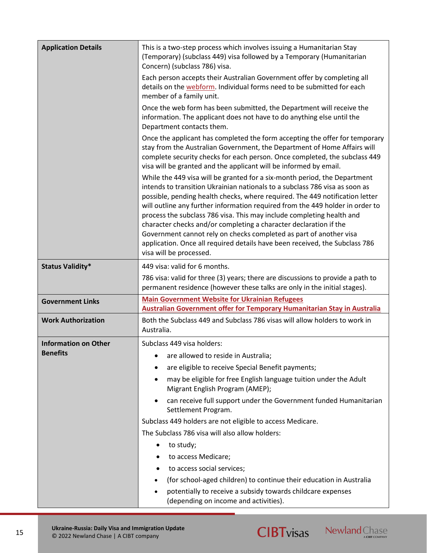| <b>Application Details</b>  | This is a two-step process which involves issuing a Humanitarian Stay<br>(Temporary) (subclass 449) visa followed by a Temporary (Humanitarian<br>Concern) (subclass 786) visa.                                                                                                                                                                                                                                                                                                                                                                                                                                                                         |
|-----------------------------|---------------------------------------------------------------------------------------------------------------------------------------------------------------------------------------------------------------------------------------------------------------------------------------------------------------------------------------------------------------------------------------------------------------------------------------------------------------------------------------------------------------------------------------------------------------------------------------------------------------------------------------------------------|
|                             | Each person accepts their Australian Government offer by completing all<br>details on the webform. Individual forms need to be submitted for each<br>member of a family unit.                                                                                                                                                                                                                                                                                                                                                                                                                                                                           |
|                             | Once the web form has been submitted, the Department will receive the<br>information. The applicant does not have to do anything else until the<br>Department contacts them.                                                                                                                                                                                                                                                                                                                                                                                                                                                                            |
|                             | Once the applicant has completed the form accepting the offer for temporary<br>stay from the Australian Government, the Department of Home Affairs will<br>complete security checks for each person. Once completed, the subclass 449<br>visa will be granted and the applicant will be informed by email.                                                                                                                                                                                                                                                                                                                                              |
|                             | While the 449 visa will be granted for a six-month period, the Department<br>intends to transition Ukrainian nationals to a subclass 786 visa as soon as<br>possible, pending health checks, where required. The 449 notification letter<br>will outline any further information required from the 449 holder in order to<br>process the subclass 786 visa. This may include completing health and<br>character checks and/or completing a character declaration if the<br>Government cannot rely on checks completed as part of another visa<br>application. Once all required details have been received, the Subclass 786<br>visa will be processed. |
| <b>Status Validity*</b>     | 449 visa: valid for 6 months.                                                                                                                                                                                                                                                                                                                                                                                                                                                                                                                                                                                                                           |
|                             | 786 visa: valid for three (3) years; there are discussions to provide a path to<br>permanent residence (however these talks are only in the initial stages).                                                                                                                                                                                                                                                                                                                                                                                                                                                                                            |
| <b>Government Links</b>     | <b>Main Government Website for Ukrainian Refugees</b>                                                                                                                                                                                                                                                                                                                                                                                                                                                                                                                                                                                                   |
|                             | <b>Australian Government offer for Temporary Humanitarian Stay in Australia</b>                                                                                                                                                                                                                                                                                                                                                                                                                                                                                                                                                                         |
| <b>Work Authorization</b>   | Both the Subclass 449 and Subclass 786 visas will allow holders to work in<br>Australia.                                                                                                                                                                                                                                                                                                                                                                                                                                                                                                                                                                |
| <b>Information on Other</b> | Subclass 449 visa holders:                                                                                                                                                                                                                                                                                                                                                                                                                                                                                                                                                                                                                              |
| <b>Benefits</b>             | are allowed to reside in Australia;                                                                                                                                                                                                                                                                                                                                                                                                                                                                                                                                                                                                                     |
|                             | are eligible to receive Special Benefit payments;                                                                                                                                                                                                                                                                                                                                                                                                                                                                                                                                                                                                       |
|                             | may be eligible for free English language tuition under the Adult<br>Migrant English Program (AMEP);                                                                                                                                                                                                                                                                                                                                                                                                                                                                                                                                                    |
|                             | can receive full support under the Government funded Humanitarian<br>Settlement Program.                                                                                                                                                                                                                                                                                                                                                                                                                                                                                                                                                                |
|                             | Subclass 449 holders are not eligible to access Medicare.                                                                                                                                                                                                                                                                                                                                                                                                                                                                                                                                                                                               |
|                             | The Subclass 786 visa will also allow holders:                                                                                                                                                                                                                                                                                                                                                                                                                                                                                                                                                                                                          |
|                             | to study;<br>$\bullet$                                                                                                                                                                                                                                                                                                                                                                                                                                                                                                                                                                                                                                  |
|                             | to access Medicare;                                                                                                                                                                                                                                                                                                                                                                                                                                                                                                                                                                                                                                     |
|                             | to access social services;                                                                                                                                                                                                                                                                                                                                                                                                                                                                                                                                                                                                                              |
|                             | (for school-aged children) to continue their education in Australia                                                                                                                                                                                                                                                                                                                                                                                                                                                                                                                                                                                     |
|                             | potentially to receive a subsidy towards childcare expenses<br>(depending on income and activities).                                                                                                                                                                                                                                                                                                                                                                                                                                                                                                                                                    |

15



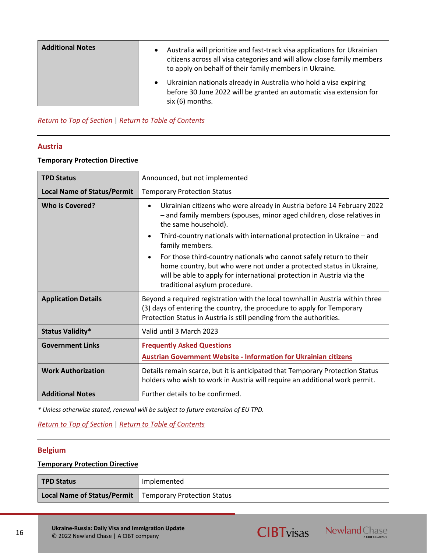| <b>Additional Notes</b> | Australia will prioritize and fast-track visa applications for Ukrainian<br>citizens across all visa categories and will allow close family members<br>to apply on behalf of their family members in Ukraine. |
|-------------------------|---------------------------------------------------------------------------------------------------------------------------------------------------------------------------------------------------------------|
|                         | Ukrainian nationals already in Australia who hold a visa expiring<br>before 30 June 2022 will be granted an automatic visa extension for<br>six (6) months.                                                   |

*[Return to Top of Section](#page-13-0)* | *[Return to Table of Contents](#page-2-0)*

## <span id="page-15-0"></span>**Austria**

## **Temporary Protection Directive**

| <b>TPD Status</b>                  | Announced, but not implemented                                                                                                                                                                                                                                    |
|------------------------------------|-------------------------------------------------------------------------------------------------------------------------------------------------------------------------------------------------------------------------------------------------------------------|
| <b>Local Name of Status/Permit</b> | <b>Temporary Protection Status</b>                                                                                                                                                                                                                                |
| <b>Who is Covered?</b>             | Ukrainian citizens who were already in Austria before 14 February 2022<br>- and family members (spouses, minor aged children, close relatives in<br>the same household).                                                                                          |
|                                    | Third-country nationals with international protection in Ukraine – and<br>family members.                                                                                                                                                                         |
|                                    | For those third-country nationals who cannot safely return to their<br>$\bullet$<br>home country, but who were not under a protected status in Ukraine,<br>will be able to apply for international protection in Austria via the<br>traditional asylum procedure. |
| <b>Application Details</b>         | Beyond a required registration with the local townhall in Austria within three<br>(3) days of entering the country, the procedure to apply for Temporary<br>Protection Status in Austria is still pending from the authorities.                                   |
| <b>Status Validity*</b>            | Valid until 3 March 2023                                                                                                                                                                                                                                          |
| <b>Government Links</b>            | <b>Frequently Asked Questions</b><br><b>Austrian Government Website - Information for Ukrainian citizens</b>                                                                                                                                                      |
| <b>Work Authorization</b>          | Details remain scarce, but it is anticipated that Temporary Protection Status<br>holders who wish to work in Austria will require an additional work permit.                                                                                                      |
| <b>Additional Notes</b>            | Further details to be confirmed.                                                                                                                                                                                                                                  |

*\* Unless otherwise stated, renewal will be subject to future extension of EU TPD.*

## *[Return to Top of Section](#page-13-0)* | *[Return to Table of Contents](#page-2-0)*

## <span id="page-15-1"></span>**Belgium**

## **Temporary Protection Directive**

| <b>TPD Status</b>                                         | Implemented |
|-----------------------------------------------------------|-------------|
| Local Name of Status/Permit   Temporary Protection Status |             |

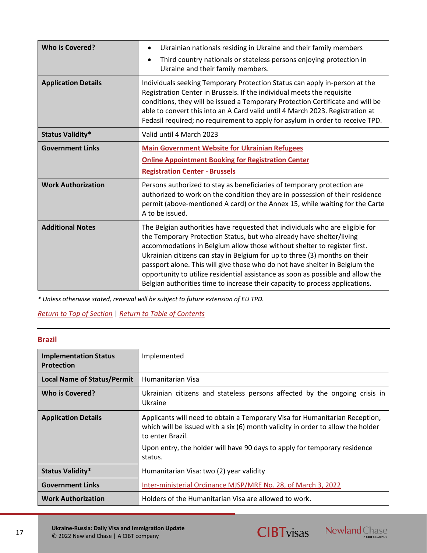| <b>Who is Covered?</b>     | Ukrainian nationals residing in Ukraine and their family members<br>$\bullet$<br>Third country nationals or stateless persons enjoying protection in<br>Ukraine and their family members.                                                                                                                                                                                                                                                                                                                                                                        |
|----------------------------|------------------------------------------------------------------------------------------------------------------------------------------------------------------------------------------------------------------------------------------------------------------------------------------------------------------------------------------------------------------------------------------------------------------------------------------------------------------------------------------------------------------------------------------------------------------|
| <b>Application Details</b> | Individuals seeking Temporary Protection Status can apply in-person at the<br>Registration Center in Brussels. If the individual meets the requisite<br>conditions, they will be issued a Temporary Protection Certificate and will be<br>able to convert this into an A Card valid until 4 March 2023. Registration at<br>Fedasil required; no requirement to apply for asylum in order to receive TPD.                                                                                                                                                         |
| <b>Status Validity*</b>    | Valid until 4 March 2023                                                                                                                                                                                                                                                                                                                                                                                                                                                                                                                                         |
| <b>Government Links</b>    | <b>Main Government Website for Ukrainian Refugees</b><br><b>Online Appointment Booking for Registration Center</b><br><b>Registration Center - Brussels</b>                                                                                                                                                                                                                                                                                                                                                                                                      |
| <b>Work Authorization</b>  | Persons authorized to stay as beneficiaries of temporary protection are<br>authorized to work on the condition they are in possession of their residence<br>permit (above-mentioned A card) or the Annex 15, while waiting for the Carte<br>A to be issued.                                                                                                                                                                                                                                                                                                      |
| <b>Additional Notes</b>    | The Belgian authorities have requested that individuals who are eligible for<br>the Temporary Protection Status, but who already have shelter/living<br>accommodations in Belgium allow those without shelter to register first.<br>Ukrainian citizens can stay in Belgium for up to three (3) months on their<br>passport alone. This will give those who do not have shelter in Belgium the<br>opportunity to utilize residential assistance as soon as possible and allow the<br>Belgian authorities time to increase their capacity to process applications. |

*[Return to Top of Section](#page-13-0)* | *[Return to Table of Contents](#page-2-0)*

## <span id="page-16-0"></span>**Brazil**

| <b>Implementation Status</b><br><b>Protection</b> | Implemented                                                                                                                                                                        |
|---------------------------------------------------|------------------------------------------------------------------------------------------------------------------------------------------------------------------------------------|
| <b>Local Name of Status/Permit</b>                | Humanitarian Visa                                                                                                                                                                  |
| Who is Covered?                                   | Ukrainian citizens and stateless persons affected by the ongoing crisis in<br>Ukraine                                                                                              |
| <b>Application Details</b>                        | Applicants will need to obtain a Temporary Visa for Humanitarian Reception,<br>which will be issued with a six (6) month validity in order to allow the holder<br>to enter Brazil. |
|                                                   | Upon entry, the holder will have 90 days to apply for temporary residence<br>status.                                                                                               |
| <b>Status Validity*</b>                           | Humanitarian Visa: two (2) year validity                                                                                                                                           |
| <b>Government Links</b>                           | Inter-ministerial Ordinance MJSP/MRE No. 28, of March 3, 2022                                                                                                                      |
| <b>Work Authorization</b>                         | Holders of the Humanitarian Visa are allowed to work.                                                                                                                              |



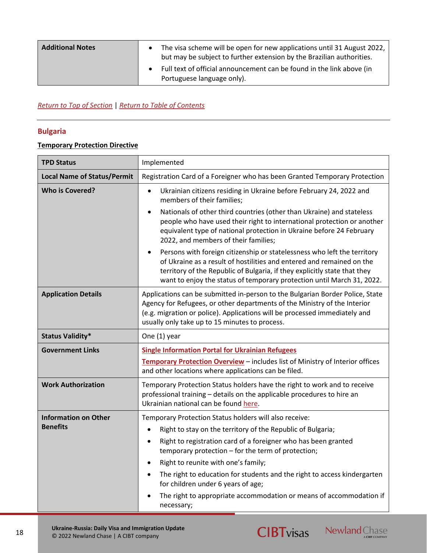| <b>Additional Notes</b> | The visa scheme will be open for new applications until 31 August 2022,<br>but may be subject to further extension by the Brazilian authorities. |
|-------------------------|--------------------------------------------------------------------------------------------------------------------------------------------------|
|                         | Full text of official announcement can be found in the link above (in<br>Portuguese language only).                                              |

## *[Return to Top of Section](#page-13-0)* | *[Return to Table of Contents](#page-2-0)*

## <span id="page-17-0"></span>**Bulgaria**

## **Temporary Protection Directive**

| <b>TPD Status</b>                  | Implemented                                                                                                                                                                                                                                                                                              |
|------------------------------------|----------------------------------------------------------------------------------------------------------------------------------------------------------------------------------------------------------------------------------------------------------------------------------------------------------|
| <b>Local Name of Status/Permit</b> | Registration Card of a Foreigner who has been Granted Temporary Protection                                                                                                                                                                                                                               |
| <b>Who is Covered?</b>             | Ukrainian citizens residing in Ukraine before February 24, 2022 and<br>$\bullet$<br>members of their families;                                                                                                                                                                                           |
|                                    | Nationals of other third countries (other than Ukraine) and stateless<br>people who have used their right to international protection or another<br>equivalent type of national protection in Ukraine before 24 February<br>2022, and members of their families;                                         |
|                                    | Persons with foreign citizenship or statelessness who left the territory<br>of Ukraine as a result of hostilities and entered and remained on the<br>territory of the Republic of Bulgaria, if they explicitly state that they<br>want to enjoy the status of temporary protection until March 31, 2022. |
| <b>Application Details</b>         | Applications can be submitted in-person to the Bulgarian Border Police, State<br>Agency for Refugees, or other departments of the Ministry of the Interior<br>(e.g. migration or police). Applications will be processed immediately and<br>usually only take up to 15 minutes to process.               |
| <b>Status Validity*</b>            | One (1) year                                                                                                                                                                                                                                                                                             |
| <b>Government Links</b>            | <b>Single Information Portal for Ukrainian Refugees</b>                                                                                                                                                                                                                                                  |
|                                    | Temporary Protection Overview - includes list of Ministry of Interior offices<br>and other locations where applications can be filed.                                                                                                                                                                    |
| <b>Work Authorization</b>          | Temporary Protection Status holders have the right to work and to receive<br>professional training - details on the applicable procedures to hire an<br>Ukrainian national can be found here.                                                                                                            |
| <b>Information on Other</b>        | Temporary Protection Status holders will also receive:                                                                                                                                                                                                                                                   |
| <b>Benefits</b>                    | Right to stay on the territory of the Republic of Bulgaria;<br>$\bullet$                                                                                                                                                                                                                                 |
|                                    | Right to registration card of a foreigner who has been granted<br>$\bullet$<br>temporary protection - for the term of protection;                                                                                                                                                                        |
|                                    | Right to reunite with one's family;<br>$\bullet$                                                                                                                                                                                                                                                         |
|                                    | The right to education for students and the right to access kindergarten<br>$\bullet$<br>for children under 6 years of age;                                                                                                                                                                              |
|                                    | The right to appropriate accommodation or means of accommodation if<br>necessary;                                                                                                                                                                                                                        |



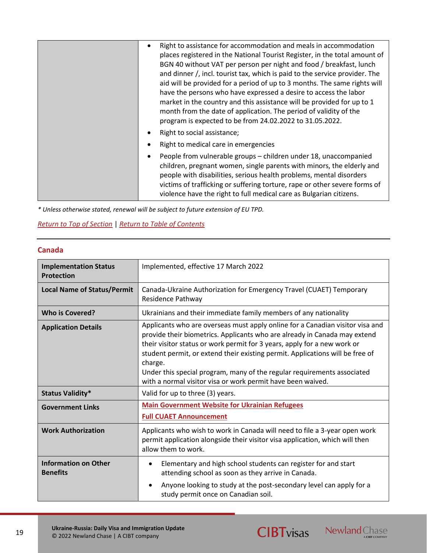| Right to assistance for accommodation and meals in accommodation<br>places registered in the National Tourist Register, in the total amount of<br>BGN 40 without VAT per person per night and food / breakfast, lunch<br>and dinner /, incl. tourist tax, which is paid to the service provider. The<br>aid will be provided for a period of up to 3 months. The same rights will<br>have the persons who have expressed a desire to access the labor<br>market in the country and this assistance will be provided for up to 1<br>month from the date of application. The period of validity of the<br>program is expected to be from 24.02.2022 to 31.05.2022. |
|------------------------------------------------------------------------------------------------------------------------------------------------------------------------------------------------------------------------------------------------------------------------------------------------------------------------------------------------------------------------------------------------------------------------------------------------------------------------------------------------------------------------------------------------------------------------------------------------------------------------------------------------------------------|
| Right to social assistance;                                                                                                                                                                                                                                                                                                                                                                                                                                                                                                                                                                                                                                      |
| Right to medical care in emergencies                                                                                                                                                                                                                                                                                                                                                                                                                                                                                                                                                                                                                             |
| People from vulnerable groups – children under 18, unaccompanied<br>children, pregnant women, single parents with minors, the elderly and<br>people with disabilities, serious health problems, mental disorders<br>victims of trafficking or suffering torture, rape or other severe forms of<br>violence have the right to full medical care as Bulgarian citizens.                                                                                                                                                                                                                                                                                            |

## *[Return to Top of Section](#page-13-0)* | *[Return to Table of Contents](#page-2-0)*

## <span id="page-18-0"></span>**Canada**

| <b>Implementation Status</b><br><b>Protection</b> | Implemented, effective 17 March 2022                                                                                                                                                                                                                                                                                                                                                                                                                                         |
|---------------------------------------------------|------------------------------------------------------------------------------------------------------------------------------------------------------------------------------------------------------------------------------------------------------------------------------------------------------------------------------------------------------------------------------------------------------------------------------------------------------------------------------|
| <b>Local Name of Status/Permit</b>                | Canada-Ukraine Authorization for Emergency Travel (CUAET) Temporary<br>Residence Pathway                                                                                                                                                                                                                                                                                                                                                                                     |
| <b>Who is Covered?</b>                            | Ukrainians and their immediate family members of any nationality                                                                                                                                                                                                                                                                                                                                                                                                             |
| <b>Application Details</b>                        | Applicants who are overseas must apply online for a Canadian visitor visa and<br>provide their biometrics. Applicants who are already in Canada may extend<br>their visitor status or work permit for 3 years, apply for a new work or<br>student permit, or extend their existing permit. Applications will be free of<br>charge.<br>Under this special program, many of the regular requirements associated<br>with a normal visitor visa or work permit have been waived. |
| <b>Status Validity*</b>                           | Valid for up to three (3) years.                                                                                                                                                                                                                                                                                                                                                                                                                                             |
| <b>Government Links</b>                           | <b>Main Government Website for Ukrainian Refugees</b><br><b>Full CUAET Announcement</b>                                                                                                                                                                                                                                                                                                                                                                                      |
| <b>Work Authorization</b>                         | Applicants who wish to work in Canada will need to file a 3-year open work<br>permit application alongside their visitor visa application, which will then<br>allow them to work.                                                                                                                                                                                                                                                                                            |
| <b>Information on Other</b><br><b>Benefits</b>    | Elementary and high school students can register for and start<br>attending school as soon as they arrive in Canada.<br>Anyone looking to study at the post-secondary level can apply for a<br>study permit once on Canadian soil.                                                                                                                                                                                                                                           |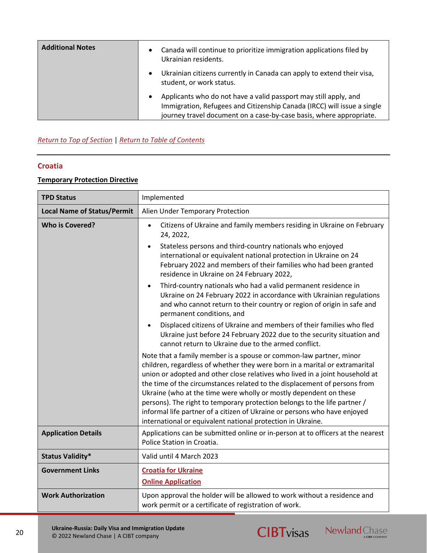| <b>Additional Notes</b> | Canada will continue to prioritize immigration applications filed by<br>Ukrainian residents.                                                                                                                       |
|-------------------------|--------------------------------------------------------------------------------------------------------------------------------------------------------------------------------------------------------------------|
|                         | Ukrainian citizens currently in Canada can apply to extend their visa,<br>student, or work status.                                                                                                                 |
|                         | Applicants who do not have a valid passport may still apply, and<br>Immigration, Refugees and Citizenship Canada (IRCC) will issue a single<br>journey travel document on a case-by-case basis, where appropriate. |

## *[Return to Top of Section](#page-13-0)* | *[Return to Table of Contents](#page-2-0)*

## <span id="page-19-0"></span>**Croatia**

## **Temporary Protection Directive**

| <b>TPD Status</b>                  | Implemented                                                                                                                                                                                                                                                                                                                                                                                                                                                                                                                                                                                                  |
|------------------------------------|--------------------------------------------------------------------------------------------------------------------------------------------------------------------------------------------------------------------------------------------------------------------------------------------------------------------------------------------------------------------------------------------------------------------------------------------------------------------------------------------------------------------------------------------------------------------------------------------------------------|
| <b>Local Name of Status/Permit</b> | Alien Under Temporary Protection                                                                                                                                                                                                                                                                                                                                                                                                                                                                                                                                                                             |
| <b>Who is Covered?</b>             | Citizens of Ukraine and family members residing in Ukraine on February<br>$\bullet$<br>24, 2022,                                                                                                                                                                                                                                                                                                                                                                                                                                                                                                             |
|                                    | Stateless persons and third-country nationals who enjoyed<br>international or equivalent national protection in Ukraine on 24<br>February 2022 and members of their families who had been granted<br>residence in Ukraine on 24 February 2022,                                                                                                                                                                                                                                                                                                                                                               |
|                                    | Third-country nationals who had a valid permanent residence in<br>$\bullet$<br>Ukraine on 24 February 2022 in accordance with Ukrainian regulations<br>and who cannot return to their country or region of origin in safe and<br>permanent conditions, and                                                                                                                                                                                                                                                                                                                                                   |
|                                    | Displaced citizens of Ukraine and members of their families who fled<br>$\bullet$<br>Ukraine just before 24 February 2022 due to the security situation and<br>cannot return to Ukraine due to the armed conflict.                                                                                                                                                                                                                                                                                                                                                                                           |
|                                    | Note that a family member is a spouse or common-law partner, minor<br>children, regardless of whether they were born in a marital or extramarital<br>union or adopted and other close relatives who lived in a joint household at<br>the time of the circumstances related to the displacement of persons from<br>Ukraine (who at the time were wholly or mostly dependent on these<br>persons). The right to temporary protection belongs to the life partner /<br>informal life partner of a citizen of Ukraine or persons who have enjoyed<br>international or equivalent national protection in Ukraine. |
| <b>Application Details</b>         | Applications can be submitted online or in-person at to officers at the nearest<br>Police Station in Croatia.                                                                                                                                                                                                                                                                                                                                                                                                                                                                                                |
| <b>Status Validity*</b>            | Valid until 4 March 2023                                                                                                                                                                                                                                                                                                                                                                                                                                                                                                                                                                                     |
| <b>Government Links</b>            | <b>Croatia for Ukraine</b><br><b>Online Application</b>                                                                                                                                                                                                                                                                                                                                                                                                                                                                                                                                                      |
| <b>Work Authorization</b>          | Upon approval the holder will be allowed to work without a residence and<br>work permit or a certificate of registration of work.                                                                                                                                                                                                                                                                                                                                                                                                                                                                            |



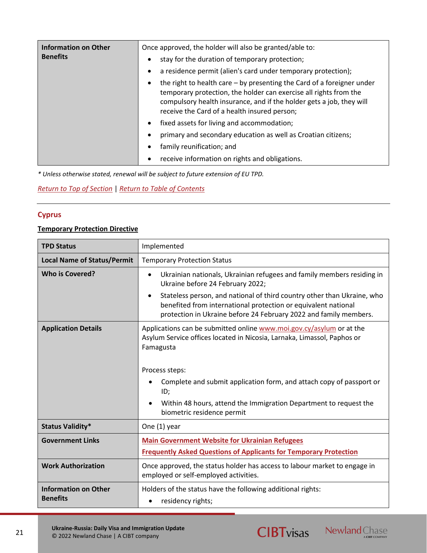| <b>Information on Other</b><br><b>Benefits</b> | Once approved, the holder will also be granted/able to:<br>stay for the duration of temporary protection;<br>$\bullet$<br>a residence permit (alien's card under temporary protection);                                                                                            |
|------------------------------------------------|------------------------------------------------------------------------------------------------------------------------------------------------------------------------------------------------------------------------------------------------------------------------------------|
|                                                | the right to health care $-$ by presenting the Card of a foreigner under<br>$\bullet$<br>temporary protection, the holder can exercise all rights from the<br>compulsory health insurance, and if the holder gets a job, they will<br>receive the Card of a health insured person; |
|                                                | fixed assets for living and accommodation;<br>$\bullet$                                                                                                                                                                                                                            |
|                                                | primary and secondary education as well as Croatian citizens;                                                                                                                                                                                                                      |
|                                                | family reunification; and<br>$\bullet$                                                                                                                                                                                                                                             |
|                                                | receive information on rights and obligations.<br>٠                                                                                                                                                                                                                                |

*[Return to Top of Section](#page-13-0)* | *[Return to Table of Contents](#page-2-0)*

## <span id="page-20-0"></span>**Cyprus**

## **Temporary Protection Directive**

| <b>TPD Status</b>                              | Implemented                                                                                                                                                                                                    |
|------------------------------------------------|----------------------------------------------------------------------------------------------------------------------------------------------------------------------------------------------------------------|
| <b>Local Name of Status/Permit</b>             | <b>Temporary Protection Status</b>                                                                                                                                                                             |
| <b>Who is Covered?</b>                         | Ukrainian nationals, Ukrainian refugees and family members residing in<br>Ukraine before 24 February 2022;                                                                                                     |
|                                                | Stateless person, and national of third country other than Ukraine, who<br>benefited from international protection or equivalent national<br>protection in Ukraine before 24 February 2022 and family members. |
| <b>Application Details</b>                     | Applications can be submitted online www.moi.gov.cy/asylum or at the<br>Asylum Service offices located in Nicosia, Larnaka, Limassol, Paphos or<br>Famagusta                                                   |
|                                                | Process steps:                                                                                                                                                                                                 |
|                                                | Complete and submit application form, and attach copy of passport or<br>ID;                                                                                                                                    |
|                                                | Within 48 hours, attend the Immigration Department to request the<br>biometric residence permit                                                                                                                |
| <b>Status Validity*</b>                        | One (1) year                                                                                                                                                                                                   |
| <b>Government Links</b>                        | <b>Main Government Website for Ukrainian Refugees</b>                                                                                                                                                          |
|                                                | <b>Frequently Asked Questions of Applicants for Temporary Protection</b>                                                                                                                                       |
| <b>Work Authorization</b>                      | Once approved, the status holder has access to labour market to engage in<br>employed or self-employed activities.                                                                                             |
| <b>Information on Other</b><br><b>Benefits</b> | Holders of the status have the following additional rights:<br>residency rights;                                                                                                                               |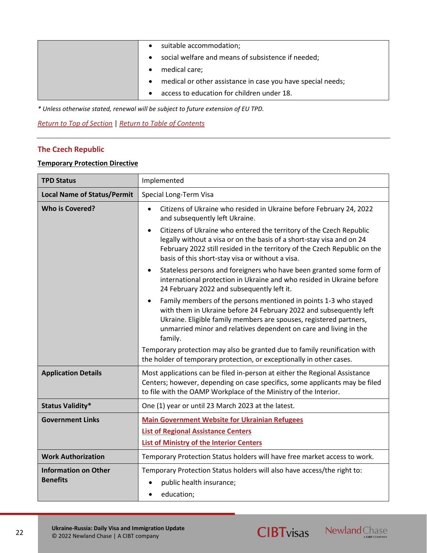|  | suitable accommodation;                                     |
|--|-------------------------------------------------------------|
|  | social welfare and means of subsistence if needed;          |
|  | medical care;                                               |
|  | medical or other assistance in case you have special needs; |
|  | access to education for children under 18.                  |

*[Return to Top of Section](#page-13-0)* | *[Return to Table of Contents](#page-2-0)*

## **The Czech Republic**

## **Temporary Protection Directive**

| <b>TPD Status</b>                              | Implemented                                                                                                                                                                                                                                                                                  |
|------------------------------------------------|----------------------------------------------------------------------------------------------------------------------------------------------------------------------------------------------------------------------------------------------------------------------------------------------|
| <b>Local Name of Status/Permit</b>             | Special Long-Term Visa                                                                                                                                                                                                                                                                       |
| <b>Who is Covered?</b>                         | Citizens of Ukraine who resided in Ukraine before February 24, 2022<br>and subsequently left Ukraine.                                                                                                                                                                                        |
|                                                | Citizens of Ukraine who entered the territory of the Czech Republic<br>legally without a visa or on the basis of a short-stay visa and on 24<br>February 2022 still resided in the territory of the Czech Republic on the<br>basis of this short-stay visa or without a visa.                |
|                                                | Stateless persons and foreigners who have been granted some form of<br>$\bullet$<br>international protection in Ukraine and who resided in Ukraine before<br>24 February 2022 and subsequently left it.                                                                                      |
|                                                | Family members of the persons mentioned in points 1-3 who stayed<br>with them in Ukraine before 24 February 2022 and subsequently left<br>Ukraine. Eligible family members are spouses, registered partners,<br>unmarried minor and relatives dependent on care and living in the<br>family. |
|                                                | Temporary protection may also be granted due to family reunification with<br>the holder of temporary protection, or exceptionally in other cases.                                                                                                                                            |
| <b>Application Details</b>                     | Most applications can be filed in-person at either the Regional Assistance<br>Centers; however, depending on case specifics, some applicants may be filed<br>to file with the OAMP Workplace of the Ministry of the Interior.                                                                |
| <b>Status Validity*</b>                        | One (1) year or until 23 March 2023 at the latest.                                                                                                                                                                                                                                           |
| <b>Government Links</b>                        | <b>Main Government Website for Ukrainian Refugees</b>                                                                                                                                                                                                                                        |
|                                                | <b>List of Regional Assistance Centers</b>                                                                                                                                                                                                                                                   |
|                                                | <b>List of Ministry of the Interior Centers</b>                                                                                                                                                                                                                                              |
| <b>Work Authorization</b>                      | Temporary Protection Status holders will have free market access to work.                                                                                                                                                                                                                    |
| <b>Information on Other</b><br><b>Benefits</b> | Temporary Protection Status holders will also have access/the right to:<br>public health insurance;<br>education;<br>$\bullet$                                                                                                                                                               |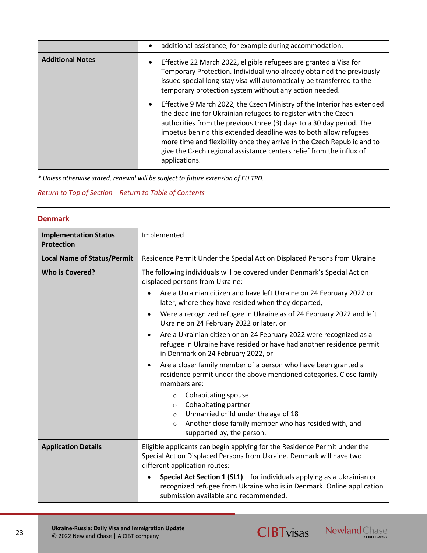|                         | additional assistance, for example during accommodation.                                                                                                                                                                                                                                                                                                                                                                                                               |
|-------------------------|------------------------------------------------------------------------------------------------------------------------------------------------------------------------------------------------------------------------------------------------------------------------------------------------------------------------------------------------------------------------------------------------------------------------------------------------------------------------|
| <b>Additional Notes</b> | Effective 22 March 2022, eligible refugees are granted a Visa for<br>Temporary Protection. Individual who already obtained the previously-<br>issued special long-stay visa will automatically be transferred to the<br>temporary protection system without any action needed.                                                                                                                                                                                         |
|                         | Effective 9 March 2022, the Czech Ministry of the Interior has extended<br>$\bullet$<br>the deadline for Ukrainian refugees to register with the Czech<br>authorities from the previous three (3) days to a 30 day period. The<br>impetus behind this extended deadline was to both allow refugees<br>more time and flexibility once they arrive in the Czech Republic and to<br>give the Czech regional assistance centers relief from the influx of<br>applications. |

## *[Return to Top of Section](#page-13-0)* | *[Return to Table of Contents](#page-2-0)*

## <span id="page-22-0"></span>**Denmark**

| <b>Implementation Status</b><br><b>Protection</b> | Implemented                                                                                                                                                                                       |
|---------------------------------------------------|---------------------------------------------------------------------------------------------------------------------------------------------------------------------------------------------------|
| <b>Local Name of Status/Permit</b>                | Residence Permit Under the Special Act on Displaced Persons from Ukraine                                                                                                                          |
| <b>Who is Covered?</b>                            | The following individuals will be covered under Denmark's Special Act on<br>displaced persons from Ukraine:<br>Are a Ukrainian citizen and have left Ukraine on 24 February 2022 or               |
|                                                   | later, where they have resided when they departed,                                                                                                                                                |
|                                                   | Were a recognized refugee in Ukraine as of 24 February 2022 and left<br>$\bullet$<br>Ukraine on 24 February 2022 or later, or                                                                     |
|                                                   | Are a Ukrainian citizen or on 24 February 2022 were recognized as a<br>$\bullet$<br>refugee in Ukraine have resided or have had another residence permit<br>in Denmark on 24 February 2022, or    |
|                                                   | Are a closer family member of a person who have been granted a<br>$\bullet$<br>residence permit under the above mentioned categories. Close family<br>members are:                                |
|                                                   | Cohabitating spouse<br>$\circ$<br>Cohabitating partner<br>$\circ$<br>Unmarried child under the age of 18<br>$\circ$                                                                               |
|                                                   | Another close family member who has resided with, and<br>$\circ$<br>supported by, the person.                                                                                                     |
| <b>Application Details</b>                        | Eligible applicants can begin applying for the Residence Permit under the<br>Special Act on Displaced Persons from Ukraine. Denmark will have two<br>different application routes:                |
|                                                   | <b>Special Act Section 1 (SL1)</b> – for individuals applying as a Ukrainian or<br>recognized refugee from Ukraine who is in Denmark. Online application<br>submission available and recommended. |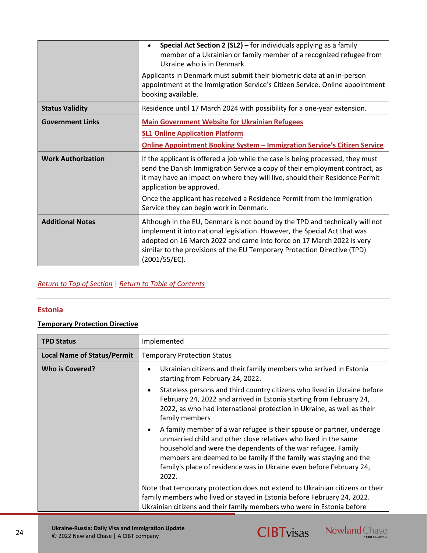|                           | <b>Special Act Section 2 (SL2)</b> $-$ for individuals applying as a family<br>$\bullet$<br>member of a Ukrainian or family member of a recognized refugee from<br>Ukraine who is in Denmark.<br>Applicants in Denmark must submit their biometric data at an in-person<br>appointment at the Immigration Service's Citizen Service. Online appointment<br>booking available. |
|---------------------------|-------------------------------------------------------------------------------------------------------------------------------------------------------------------------------------------------------------------------------------------------------------------------------------------------------------------------------------------------------------------------------|
| <b>Status Validity</b>    | Residence until 17 March 2024 with possibility for a one-year extension.                                                                                                                                                                                                                                                                                                      |
| <b>Government Links</b>   | <b>Main Government Website for Ukrainian Refugees</b><br><b>SL1 Online Application Platform</b>                                                                                                                                                                                                                                                                               |
|                           | <b>Online Appointment Booking System - Immigration Service's Citizen Service</b>                                                                                                                                                                                                                                                                                              |
| <b>Work Authorization</b> | If the applicant is offered a job while the case is being processed, they must<br>send the Danish Immigration Service a copy of their employment contract, as<br>it may have an impact on where they will live, should their Residence Permit<br>application be approved.                                                                                                     |
|                           | Once the applicant has received a Residence Permit from the Immigration<br>Service they can begin work in Denmark.                                                                                                                                                                                                                                                            |
| <b>Additional Notes</b>   | Although in the EU, Denmark is not bound by the TPD and technically will not<br>implement it into national legislation. However, the Special Act that was<br>adopted on 16 March 2022 and came into force on 17 March 2022 is very<br>similar to the provisions of the EU Temporary Protection Directive (TPD)<br>(2001/55/EC).                                               |

## *[Return to Top of Section](#page-13-0)* | *[Return to Table of Contents](#page-2-0)*

## <span id="page-23-0"></span>**Estonia**

## **Temporary Protection Directive**

| <b>TPD Status</b>                  | Implemented                                                                                                                                                                                                                                                                                                                                                        |
|------------------------------------|--------------------------------------------------------------------------------------------------------------------------------------------------------------------------------------------------------------------------------------------------------------------------------------------------------------------------------------------------------------------|
| <b>Local Name of Status/Permit</b> | <b>Temporary Protection Status</b>                                                                                                                                                                                                                                                                                                                                 |
| Who is Covered?                    | Ukrainian citizens and their family members who arrived in Estonia<br>٠<br>starting from February 24, 2022.                                                                                                                                                                                                                                                        |
|                                    | Stateless persons and third country citizens who lived in Ukraine before<br>$\bullet$<br>February 24, 2022 and arrived in Estonia starting from February 24,<br>2022, as who had international protection in Ukraine, as well as their<br>family members                                                                                                           |
|                                    | A family member of a war refugee is their spouse or partner, underage<br>٠<br>unmarried child and other close relatives who lived in the same<br>household and were the dependents of the war refugee. Family<br>members are deemed to be family if the family was staying and the<br>family's place of residence was in Ukraine even before February 24,<br>2022. |
|                                    | Note that temporary protection does not extend to Ukrainian citizens or their<br>family members who lived or stayed in Estonia before February 24, 2022.<br>Ukrainian citizens and their family members who were in Estonia before                                                                                                                                 |



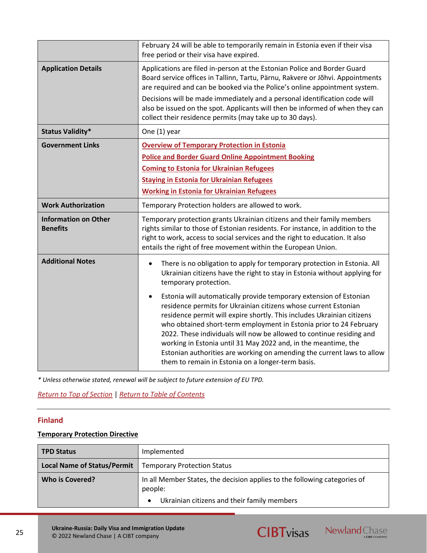|                                                | February 24 will be able to temporarily remain in Estonia even if their visa<br>free period or their visa have expired.                                                                                                                                                                                                                                                                                                                                                                                                                                                                                                                                                                                                                          |
|------------------------------------------------|--------------------------------------------------------------------------------------------------------------------------------------------------------------------------------------------------------------------------------------------------------------------------------------------------------------------------------------------------------------------------------------------------------------------------------------------------------------------------------------------------------------------------------------------------------------------------------------------------------------------------------------------------------------------------------------------------------------------------------------------------|
| <b>Application Details</b>                     | Applications are filed in-person at the Estonian Police and Border Guard<br>Board service offices in Tallinn, Tartu, Pärnu, Rakvere or Jõhvi. Appointments<br>are required and can be booked via the Police's online appointment system.<br>Decisions will be made immediately and a personal identification code will<br>also be issued on the spot. Applicants will then be informed of when they can<br>collect their residence permits (may take up to 30 days).                                                                                                                                                                                                                                                                             |
| <b>Status Validity*</b>                        | One (1) year                                                                                                                                                                                                                                                                                                                                                                                                                                                                                                                                                                                                                                                                                                                                     |
| <b>Government Links</b>                        | <b>Overview of Temporary Protection in Estonia</b><br><b>Police and Border Guard Online Appointment Booking</b><br><b>Coming to Estonia for Ukrainian Refugees</b><br><b>Staying in Estonia for Ukrainian Refugees</b><br><b>Working in Estonia for Ukrainian Refugees</b>                                                                                                                                                                                                                                                                                                                                                                                                                                                                       |
| <b>Work Authorization</b>                      | Temporary Protection holders are allowed to work.                                                                                                                                                                                                                                                                                                                                                                                                                                                                                                                                                                                                                                                                                                |
| <b>Information on Other</b><br><b>Benefits</b> | Temporary protection grants Ukrainian citizens and their family members<br>rights similar to those of Estonian residents. For instance, in addition to the<br>right to work, access to social services and the right to education. It also<br>entails the right of free movement within the European Union.                                                                                                                                                                                                                                                                                                                                                                                                                                      |
| <b>Additional Notes</b>                        | There is no obligation to apply for temporary protection in Estonia. All<br>Ukrainian citizens have the right to stay in Estonia without applying for<br>temporary protection.<br>Estonia will automatically provide temporary extension of Estonian<br>residence permits for Ukrainian citizens whose current Estonian<br>residence permit will expire shortly. This includes Ukrainian citizens<br>who obtained short-term employment in Estonia prior to 24 February<br>2022. These individuals will now be allowed to continue residing and<br>working in Estonia until 31 May 2022 and, in the meantime, the<br>Estonian authorities are working on amending the current laws to allow<br>them to remain in Estonia on a longer-term basis. |

*[Return to Top of Section](#page-13-0)* | *[Return to Table of Contents](#page-2-0)*

## <span id="page-24-0"></span>**Finland**

## **Temporary Protection Directive**

| <b>TPD Status</b>                  | Implemented                                                                                                                                      |
|------------------------------------|--------------------------------------------------------------------------------------------------------------------------------------------------|
| <b>Local Name of Status/Permit</b> | <b>Temporary Protection Status</b>                                                                                                               |
| Who is Covered?                    | In all Member States, the decision applies to the following categories of<br>people:<br>Ukrainian citizens and their family members<br>$\bullet$ |
|                                    |                                                                                                                                                  |



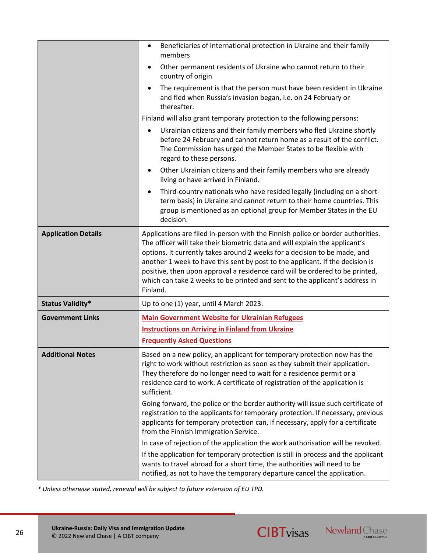|                            | Beneficiaries of international protection in Ukraine and their family<br>$\bullet$<br>members                                                                                                                                                                                                                                                                                                                                                                                                           |
|----------------------------|---------------------------------------------------------------------------------------------------------------------------------------------------------------------------------------------------------------------------------------------------------------------------------------------------------------------------------------------------------------------------------------------------------------------------------------------------------------------------------------------------------|
|                            | Other permanent residents of Ukraine who cannot return to their<br>$\bullet$<br>country of origin                                                                                                                                                                                                                                                                                                                                                                                                       |
|                            | The requirement is that the person must have been resident in Ukraine<br>$\bullet$<br>and fled when Russia's invasion began, i.e. on 24 February or<br>thereafter.                                                                                                                                                                                                                                                                                                                                      |
|                            | Finland will also grant temporary protection to the following persons:                                                                                                                                                                                                                                                                                                                                                                                                                                  |
|                            | Ukrainian citizens and their family members who fled Ukraine shortly<br>before 24 February and cannot return home as a result of the conflict.<br>The Commission has urged the Member States to be flexible with<br>regard to these persons.                                                                                                                                                                                                                                                            |
|                            | Other Ukrainian citizens and their family members who are already<br>$\bullet$<br>living or have arrived in Finland.                                                                                                                                                                                                                                                                                                                                                                                    |
|                            | Third-country nationals who have resided legally (including on a short-<br>$\bullet$<br>term basis) in Ukraine and cannot return to their home countries. This<br>group is mentioned as an optional group for Member States in the EU<br>decision.                                                                                                                                                                                                                                                      |
| <b>Application Details</b> | Applications are filed in-person with the Finnish police or border authorities.<br>The officer will take their biometric data and will explain the applicant's<br>options. It currently takes around 2 weeks for a decision to be made, and<br>another 1 week to have this sent by post to the applicant. If the decision is<br>positive, then upon approval a residence card will be ordered to be printed,<br>which can take 2 weeks to be printed and sent to the applicant's address in<br>Finland. |
| <b>Status Validity*</b>    | Up to one (1) year, until 4 March 2023.                                                                                                                                                                                                                                                                                                                                                                                                                                                                 |
| <b>Government Links</b>    | <b>Main Government Website for Ukrainian Refugees</b>                                                                                                                                                                                                                                                                                                                                                                                                                                                   |
|                            | <b>Instructions on Arriving in Finland from Ukraine</b>                                                                                                                                                                                                                                                                                                                                                                                                                                                 |
|                            | <b>Frequently Asked Questions</b>                                                                                                                                                                                                                                                                                                                                                                                                                                                                       |
| <b>Additional Notes</b>    | Based on a new policy, an applicant for temporary protection now has the<br>right to work without restriction as soon as they submit their application.<br>They therefore do no longer need to wait for a residence permit or a<br>residence card to work. A certificate of registration of the application is<br>sufficient.                                                                                                                                                                           |
|                            | Going forward, the police or the border authority will issue such certificate of<br>registration to the applicants for temporary protection. If necessary, previous<br>applicants for temporary protection can, if necessary, apply for a certificate<br>from the Finnish Immigration Service.                                                                                                                                                                                                          |
|                            | In case of rejection of the application the work authorisation will be revoked.                                                                                                                                                                                                                                                                                                                                                                                                                         |
|                            | If the application for temporary protection is still in process and the applicant<br>wants to travel abroad for a short time, the authorities will need to be<br>notified, as not to have the temporary departure cancel the application.                                                                                                                                                                                                                                                               |

**CIBTvisas** Newland Chase

*\* Unless otherwise stated, renewal will be subject to future extension of EU TPD.*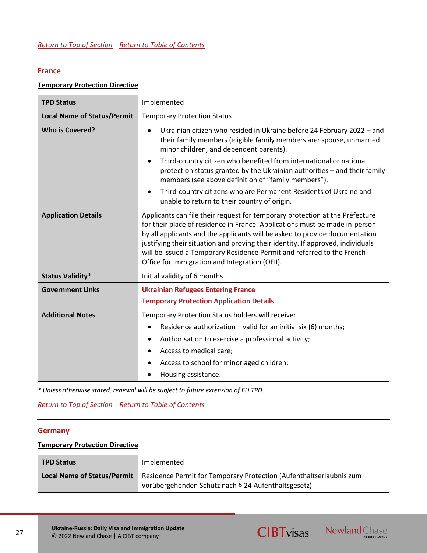## **France**

## **Temporary Protection Directive**

| <b>TPD Status</b>                  | Implemented                                                                                                                                                                                                                                                                                                                                                                                                                                               |
|------------------------------------|-----------------------------------------------------------------------------------------------------------------------------------------------------------------------------------------------------------------------------------------------------------------------------------------------------------------------------------------------------------------------------------------------------------------------------------------------------------|
| <b>Local Name of Status/Permit</b> | <b>Temporary Protection Status</b>                                                                                                                                                                                                                                                                                                                                                                                                                        |
| <b>Who is Covered?</b>             | Ukrainian citizen who resided in Ukraine before 24 February 2022 - and<br>their family members (eligible family members are: spouse, unmarried<br>minor children, and dependent parents).<br>Third-country citizen who benefited from international or national<br>protection status granted by the Ukrainian authorities - and their family<br>members (see above definition of "family members").                                                       |
|                                    | Third-country citizens who are Permanent Residents of Ukraine and<br>unable to return to their country of origin.                                                                                                                                                                                                                                                                                                                                         |
| <b>Application Details</b>         | Applicants can file their request for temporary protection at the Préfecture<br>for their place of residence in France. Applications must be made in-person<br>by all applicants and the applicants will be asked to provide documentation<br>justifying their situation and proving their identity. If approved, individuals<br>will be issued a Temporary Residence Permit and referred to the French<br>Office for Immigration and Integration (OFII). |
| <b>Status Validity*</b>            | Initial validity of 6 months.                                                                                                                                                                                                                                                                                                                                                                                                                             |
| <b>Government Links</b>            | <b>Ukrainian Refugees Entering France</b><br><b>Temporary Protection Application Details</b>                                                                                                                                                                                                                                                                                                                                                              |
| <b>Additional Notes</b>            | Temporary Protection Status holders will receive:<br>Residence authorization - valid for an initial six (6) months;<br>Authorisation to exercise a professional activity;<br>Access to medical care;<br>Access to school for minor aged children;<br>Housing assistance.                                                                                                                                                                                  |

*\* Unless otherwise stated, renewal will be subject to future extension of EU TPD.*

*[Return to Top of Section](#page-13-0)* | *[Return to Table of Contents](#page-2-0)*

## <span id="page-26-0"></span>**Germany**

### **Temporary Protection Directive**

| <b>TPD Status</b>                  | Implemented                                                                                                                |
|------------------------------------|----------------------------------------------------------------------------------------------------------------------------|
| <b>Local Name of Status/Permit</b> | Residence Permit for Temporary Protection (Aufenthaltserlaubnis zum<br>vorübergehenden Schutz nach § 24 Aufenthaltsgesetz) |

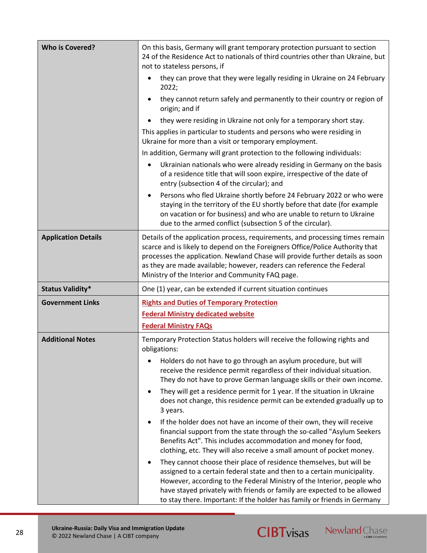| <b>Who is Covered?</b>     | On this basis, Germany will grant temporary protection pursuant to section<br>24 of the Residence Act to nationals of third countries other than Ukraine, but<br>not to stateless persons, if                                                                                                                                                                                        |
|----------------------------|--------------------------------------------------------------------------------------------------------------------------------------------------------------------------------------------------------------------------------------------------------------------------------------------------------------------------------------------------------------------------------------|
|                            | they can prove that they were legally residing in Ukraine on 24 February<br>2022;                                                                                                                                                                                                                                                                                                    |
|                            | they cannot return safely and permanently to their country or region of<br>origin; and if                                                                                                                                                                                                                                                                                            |
|                            | they were residing in Ukraine not only for a temporary short stay.                                                                                                                                                                                                                                                                                                                   |
|                            | This applies in particular to students and persons who were residing in<br>Ukraine for more than a visit or temporary employment.                                                                                                                                                                                                                                                    |
|                            | In addition, Germany will grant protection to the following individuals:                                                                                                                                                                                                                                                                                                             |
|                            | Ukrainian nationals who were already residing in Germany on the basis<br>$\bullet$<br>of a residence title that will soon expire, irrespective of the date of<br>entry (subsection 4 of the circular); and                                                                                                                                                                           |
|                            | Persons who fled Ukraine shortly before 24 February 2022 or who were<br>staying in the territory of the EU shortly before that date (for example<br>on vacation or for business) and who are unable to return to Ukraine<br>due to the armed conflict (subsection 5 of the circular).                                                                                                |
| <b>Application Details</b> | Details of the application process, requirements, and processing times remain<br>scarce and is likely to depend on the Foreigners Office/Police Authority that<br>processes the application. Newland Chase will provide further details as soon<br>as they are made available; however, readers can reference the Federal<br>Ministry of the Interior and Community FAQ page.        |
| <b>Status Validity*</b>    | One (1) year, can be extended if current situation continues                                                                                                                                                                                                                                                                                                                         |
| <b>Government Links</b>    | <b>Rights and Duties of Temporary Protection</b>                                                                                                                                                                                                                                                                                                                                     |
|                            | <b>Federal Ministry dedicated website</b>                                                                                                                                                                                                                                                                                                                                            |
|                            | <b>Federal Ministry FAQs</b>                                                                                                                                                                                                                                                                                                                                                         |
| <b>Additional Notes</b>    | Temporary Protection Status holders will receive the following rights and<br>obligations:                                                                                                                                                                                                                                                                                            |
|                            | Holders do not have to go through an asylum procedure, but will<br>٠<br>receive the residence permit regardless of their individual situation.<br>They do not have to prove German language skills or their own income.                                                                                                                                                              |
|                            | They will get a residence permit for 1 year. If the situation in Ukraine<br>٠<br>does not change, this residence permit can be extended gradually up to<br>3 years.                                                                                                                                                                                                                  |
|                            | If the holder does not have an income of their own, they will receive<br>financial support from the state through the so-called "Asylum Seekers<br>Benefits Act". This includes accommodation and money for food,<br>clothing, etc. They will also receive a small amount of pocket money.                                                                                           |
|                            | They cannot choose their place of residence themselves, but will be<br>٠<br>assigned to a certain federal state and then to a certain municipality.<br>However, according to the Federal Ministry of the Interior, people who<br>have stayed privately with friends or family are expected to be allowed<br>to stay there. Important: If the holder has family or friends in Germany |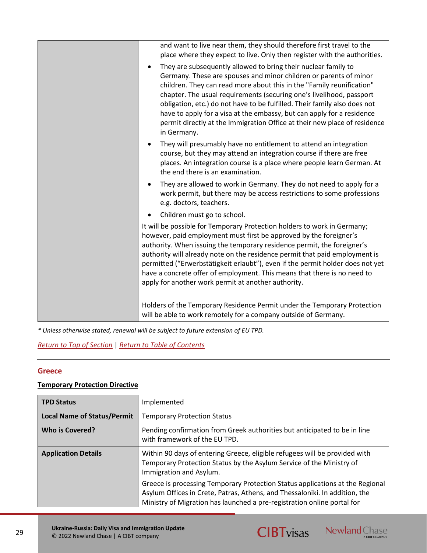| and want to live near them, they should therefore first travel to the<br>place where they expect to live. Only then register with the authorities.                                                                                                                                                                                                                                                                                                                                                                                      |
|-----------------------------------------------------------------------------------------------------------------------------------------------------------------------------------------------------------------------------------------------------------------------------------------------------------------------------------------------------------------------------------------------------------------------------------------------------------------------------------------------------------------------------------------|
| They are subsequently allowed to bring their nuclear family to<br>Germany. These are spouses and minor children or parents of minor<br>children. They can read more about this in the "Family reunification"<br>chapter. The usual requirements (securing one's livelihood, passport<br>obligation, etc.) do not have to be fulfilled. Their family also does not<br>have to apply for a visa at the embassy, but can apply for a residence<br>permit directly at the Immigration Office at their new place of residence<br>in Germany. |
| They will presumably have no entitlement to attend an integration<br>course, but they may attend an integration course if there are free<br>places. An integration course is a place where people learn German. At<br>the end there is an examination.                                                                                                                                                                                                                                                                                  |
| They are allowed to work in Germany. They do not need to apply for a<br>work permit, but there may be access restrictions to some professions<br>e.g. doctors, teachers.                                                                                                                                                                                                                                                                                                                                                                |
| Children must go to school.                                                                                                                                                                                                                                                                                                                                                                                                                                                                                                             |
| It will be possible for Temporary Protection holders to work in Germany;<br>however, paid employment must first be approved by the foreigner's<br>authority. When issuing the temporary residence permit, the foreigner's<br>authority will already note on the residence permit that paid employment is<br>permitted ("Erwerbstätigkeit erlaubt"), even if the permit holder does not yet<br>have a concrete offer of employment. This means that there is no need to<br>apply for another work permit at another authority.           |
| Holders of the Temporary Residence Permit under the Temporary Protection<br>will be able to work remotely for a company outside of Germany.                                                                                                                                                                                                                                                                                                                                                                                             |

*[Return to Top of Section](#page-13-0)* | *[Return to Table of Contents](#page-2-0)*

## <span id="page-28-0"></span>**Greece**

## **Temporary Protection Directive**

| <b>TPD Status</b>                  | Implemented                                                                                                                                                                                                                             |
|------------------------------------|-----------------------------------------------------------------------------------------------------------------------------------------------------------------------------------------------------------------------------------------|
| <b>Local Name of Status/Permit</b> | <b>Temporary Protection Status</b>                                                                                                                                                                                                      |
| <b>Who is Covered?</b>             | Pending confirmation from Greek authorities but anticipated to be in line<br>with framework of the EU TPD.                                                                                                                              |
| <b>Application Details</b>         | Within 90 days of entering Greece, eligible refugees will be provided with<br>Temporary Protection Status by the Asylum Service of the Ministry of<br>Immigration and Asylum.                                                           |
|                                    | Greece is processing Temporary Protection Status applications at the Regional<br>Asylum Offices in Crete, Patras, Athens, and Thessaloniki. In addition, the<br>Ministry of Migration has launched a pre-registration online portal for |

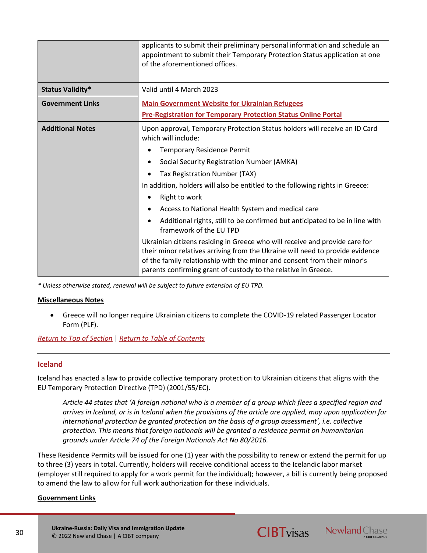|                         | applicants to submit their preliminary personal information and schedule an<br>appointment to submit their Temporary Protection Status application at one<br>of the aforementioned offices.                                                                                                                |
|-------------------------|------------------------------------------------------------------------------------------------------------------------------------------------------------------------------------------------------------------------------------------------------------------------------------------------------------|
| <b>Status Validity*</b> | Valid until 4 March 2023                                                                                                                                                                                                                                                                                   |
| <b>Government Links</b> | <b>Main Government Website for Ukrainian Refugees</b>                                                                                                                                                                                                                                                      |
|                         | <b>Pre-Registration for Temporary Protection Status Online Portal</b>                                                                                                                                                                                                                                      |
| <b>Additional Notes</b> | Upon approval, Temporary Protection Status holders will receive an ID Card<br>which will include:                                                                                                                                                                                                          |
|                         | <b>Temporary Residence Permit</b>                                                                                                                                                                                                                                                                          |
|                         | Social Security Registration Number (AMKA)<br>٠                                                                                                                                                                                                                                                            |
|                         | Tax Registration Number (TAX)                                                                                                                                                                                                                                                                              |
|                         | In addition, holders will also be entitled to the following rights in Greece:                                                                                                                                                                                                                              |
|                         | Right to work                                                                                                                                                                                                                                                                                              |
|                         | Access to National Health System and medical care                                                                                                                                                                                                                                                          |
|                         | Additional rights, still to be confirmed but anticipated to be in line with<br>framework of the EU TPD                                                                                                                                                                                                     |
|                         | Ukrainian citizens residing in Greece who will receive and provide care for<br>their minor relatives arriving from the Ukraine will need to provide evidence<br>of the family relationship with the minor and consent from their minor's<br>parents confirming grant of custody to the relative in Greece. |

#### **Miscellaneous Notes**

• Greece will no longer require Ukrainian citizens to complete the COVID-19 related Passenger Locator Form (PLF).

*[Return to Top of Section](#page-13-0)* | *[Return to Table of Contents](#page-2-0)*

## <span id="page-29-0"></span>**Iceland**

Iceland has enacted a law to provide collective temporary protection to Ukrainian citizens that aligns with the EU Temporary Protection Directive (TPD) (2001/55/EC).

*Article 44 states that 'A foreign national who is a member of a group which flees a specified region and arrives in Iceland, or is in Iceland when the provisions of the article are applied, may upon application for international protection be granted protection on the basis of a group assessment', i.e. collective protection. This means that foreign nationals will be granted a residence permit on humanitarian grounds under Article 74 of the Foreign Nationals Act No 80/2016.*

These Residence Permits will be issued for one (1) year with the possibility to renew or extend the permit for up to three (3) years in total. Currently, holders will receive conditional access to the Icelandic labor market (employer still required to apply for a work permit for the individual); however, a bill is currently being proposed to amend the law to allow for full work authorization for these individuals.

## **Government Links**



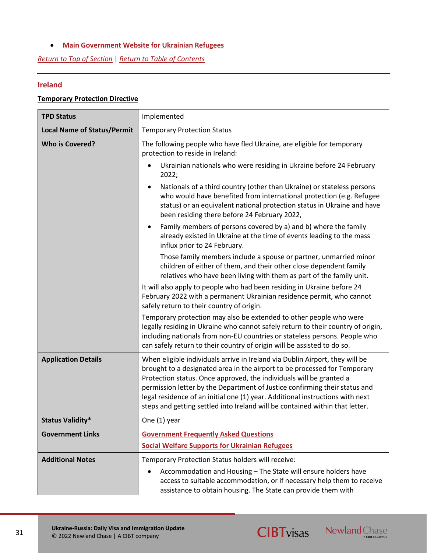## • **[Main Government Website for Ukrainian Refugees](https://island.is/en/information-for-ukrainian-citizens)**

*[Return to Top of Section](#page-13-0)* | *[Return to Table of Contents](#page-2-0)*

## <span id="page-30-0"></span>**Ireland**

## **Temporary Protection Directive**

| <b>TPD Status</b>                  | Implemented                                                                                                                                                                                                                                                                                                                                                                                                                                                                     |
|------------------------------------|---------------------------------------------------------------------------------------------------------------------------------------------------------------------------------------------------------------------------------------------------------------------------------------------------------------------------------------------------------------------------------------------------------------------------------------------------------------------------------|
| <b>Local Name of Status/Permit</b> | <b>Temporary Protection Status</b>                                                                                                                                                                                                                                                                                                                                                                                                                                              |
| <b>Who is Covered?</b>             | The following people who have fled Ukraine, are eligible for temporary<br>protection to reside in Ireland:                                                                                                                                                                                                                                                                                                                                                                      |
|                                    | Ukrainian nationals who were residing in Ukraine before 24 February<br>2022;                                                                                                                                                                                                                                                                                                                                                                                                    |
|                                    | Nationals of a third country (other than Ukraine) or stateless persons<br>who would have benefited from international protection (e.g. Refugee<br>status) or an equivalent national protection status in Ukraine and have<br>been residing there before 24 February 2022,                                                                                                                                                                                                       |
|                                    | Family members of persons covered by a) and b) where the family<br>already existed in Ukraine at the time of events leading to the mass<br>influx prior to 24 February.                                                                                                                                                                                                                                                                                                         |
|                                    | Those family members include a spouse or partner, unmarried minor<br>children of either of them, and their other close dependent family<br>relatives who have been living with them as part of the family unit.                                                                                                                                                                                                                                                                 |
|                                    | It will also apply to people who had been residing in Ukraine before 24<br>February 2022 with a permanent Ukrainian residence permit, who cannot<br>safely return to their country of origin.                                                                                                                                                                                                                                                                                   |
|                                    | Temporary protection may also be extended to other people who were<br>legally residing in Ukraine who cannot safely return to their country of origin,<br>including nationals from non-EU countries or stateless persons. People who<br>can safely return to their country of origin will be assisted to do so.                                                                                                                                                                 |
| <b>Application Details</b>         | When eligible individuals arrive in Ireland via Dublin Airport, they will be<br>brought to a designated area in the airport to be processed for Temporary<br>Protection status. Once approved, the individuals will be granted a<br>permission letter by the Department of Justice confirming their status and<br>legal residence of an initial one (1) year. Additional instructions with next<br>steps and getting settled into Ireland will be contained within that letter. |
| <b>Status Validity*</b>            | One (1) year                                                                                                                                                                                                                                                                                                                                                                                                                                                                    |
| <b>Government Links</b>            | <b>Government Frequently Asked Questions</b>                                                                                                                                                                                                                                                                                                                                                                                                                                    |
|                                    | <b>Social Welfare Supports for Ukrainian Refugees</b>                                                                                                                                                                                                                                                                                                                                                                                                                           |
| <b>Additional Notes</b>            | Temporary Protection Status holders will receive:                                                                                                                                                                                                                                                                                                                                                                                                                               |
|                                    | Accommodation and Housing - The State will ensure holders have<br>access to suitable accommodation, or if necessary help them to receive<br>assistance to obtain housing. The State can provide them with                                                                                                                                                                                                                                                                       |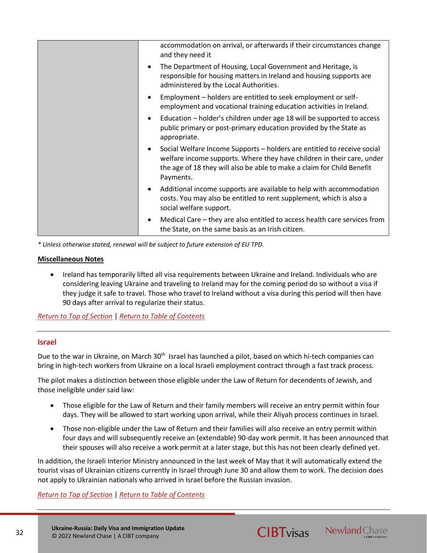| accommodation on arrival, or afterwards if their circumstances change<br>and they need it                                                                                                                                                |
|------------------------------------------------------------------------------------------------------------------------------------------------------------------------------------------------------------------------------------------|
| The Department of Housing, Local Government and Heritage, is<br>responsible for housing matters in Ireland and housing supports are<br>administered by the Local Authorities.                                                            |
| Employment - holders are entitled to seek employment or self-<br>employment and vocational training education activities in Ireland.                                                                                                     |
| Education – holder's children under age 18 will be supported to access<br>$\bullet$<br>public primary or post-primary education provided by the State as<br>appropriate.                                                                 |
| Social Welfare Income Supports - holders are entitled to receive social<br>welfare income supports. Where they have children in their care, under<br>the age of 18 they will also be able to make a claim for Child Benefit<br>Payments. |
| Additional income supports are available to help with accommodation<br>costs. You may also be entitled to rent supplement, which is also a<br>social welfare support.                                                                    |
| Medical Care – they are also entitled to access health care services from<br>the State, on the same basis as an Irish citizen.                                                                                                           |

### **Miscellaneous Notes**

• Ireland has temporarily lifted all visa requirements between Ukraine and Ireland. Individuals who are considering leaving Ukraine and traveling to Ireland may for the coming period do so without a visa if they judge it safe to travel. Those who travel to Ireland without a visa during this period will then have 90 days after arrival to regularize their status.

## *[Return to Top of Section](#page-13-0)* | *[Return to Table of Contents](#page-2-0)*

## <span id="page-31-0"></span>**Israel**

Due to the war in Ukraine, on March 30<sup>th</sup> Israel has launched a pilot, based on which hi-tech companies can bring in high-tech workers from Ukraine on a local Israeli employment contract through a fast track process.

The pilot makes a distinction between those eligible under the Law of Return for decendents of Jewish, and those ineligible under said law:

- Those eligible for the Law of Return and their family members will receive an entry permit within four days. They will be allowed to start working upon arrival, while their Aliyah process continues in Israel.
- Those non-eligible under the Law of Return and their families will also receive an entry permit within four days and will subsequently receive an (extendable) 90-day work permit. It has been announced that their spouses will also receive a work permit at a later stage, but this has not been clearly defined yet.

In addition, the Israeli Interior Ministry announced in the last week of May that it will automatically extend the tourist visas of Ukrainian citizens currently in Israel through June 30 and allow them to work. The decision does not apply to Ukrainian nationals who arrived in Israel before the Russian invasion.

*[Return to Top of Section](#page-13-0)* | *[Return to Table of Contents](#page-2-0)*

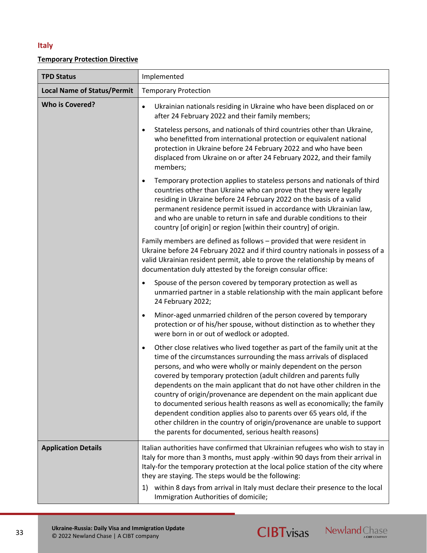## <span id="page-32-0"></span>**Italy**

## **Temporary Protection Directive**

| <b>TPD Status</b>                  | Implemented                                                                                                                                                                                                                                                                                                                                                                                                                                                                                                                                                                                                                                                                                                                                       |
|------------------------------------|---------------------------------------------------------------------------------------------------------------------------------------------------------------------------------------------------------------------------------------------------------------------------------------------------------------------------------------------------------------------------------------------------------------------------------------------------------------------------------------------------------------------------------------------------------------------------------------------------------------------------------------------------------------------------------------------------------------------------------------------------|
| <b>Local Name of Status/Permit</b> | <b>Temporary Protection</b>                                                                                                                                                                                                                                                                                                                                                                                                                                                                                                                                                                                                                                                                                                                       |
| <b>Who is Covered?</b>             | Ukrainian nationals residing in Ukraine who have been displaced on or<br>$\bullet$<br>after 24 February 2022 and their family members;                                                                                                                                                                                                                                                                                                                                                                                                                                                                                                                                                                                                            |
|                                    | Stateless persons, and nationals of third countries other than Ukraine,<br>$\bullet$<br>who benefitted from international protection or equivalent national<br>protection in Ukraine before 24 February 2022 and who have been<br>displaced from Ukraine on or after 24 February 2022, and their family<br>members;                                                                                                                                                                                                                                                                                                                                                                                                                               |
|                                    | Temporary protection applies to stateless persons and nationals of third<br>$\bullet$<br>countries other than Ukraine who can prove that they were legally<br>residing in Ukraine before 24 February 2022 on the basis of a valid<br>permanent residence permit issued in accordance with Ukrainian law,<br>and who are unable to return in safe and durable conditions to their<br>country [of origin] or region [within their country] of origin.                                                                                                                                                                                                                                                                                               |
|                                    | Family members are defined as follows - provided that were resident in<br>Ukraine before 24 February 2022 and if third country nationals in possess of a<br>valid Ukrainian resident permit, able to prove the relationship by means of<br>documentation duly attested by the foreign consular office:                                                                                                                                                                                                                                                                                                                                                                                                                                            |
|                                    | Spouse of the person covered by temporary protection as well as<br>$\bullet$<br>unmarried partner in a stable relationship with the main applicant before<br>24 February 2022;                                                                                                                                                                                                                                                                                                                                                                                                                                                                                                                                                                    |
|                                    | Minor-aged unmarried children of the person covered by temporary<br>$\bullet$<br>protection or of his/her spouse, without distinction as to whether they<br>were born in or out of wedlock or adopted.                                                                                                                                                                                                                                                                                                                                                                                                                                                                                                                                            |
|                                    | Other close relatives who lived together as part of the family unit at the<br>$\bullet$<br>time of the circumstances surrounding the mass arrivals of displaced<br>persons, and who were wholly or mainly dependent on the person<br>covered by temporary protection (adult children and parents fully<br>dependents on the main applicant that do not have other children in the<br>country of origin/provenance are dependent on the main applicant due<br>to documented serious health reasons as well as economically; the family<br>dependent condition applies also to parents over 65 years old, if the<br>other children in the country of origin/provenance are unable to support<br>the parents for documented, serious health reasons) |
| <b>Application Details</b>         | Italian authorities have confirmed that Ukrainian refugees who wish to stay in<br>Italy for more than 3 months, must apply -within 90 days from their arrival in<br>Italy-for the temporary protection at the local police station of the city where<br>they are staying. The steps would be the following:<br>within 8 days from arrival in Italy must declare their presence to the local<br>1)<br>Immigration Authorities of domicile;                                                                                                                                                                                                                                                                                                         |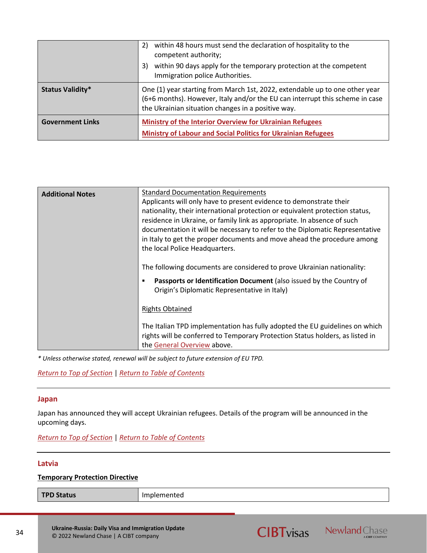|                         | within 48 hours must send the declaration of hospitality to the<br>2)<br>competent authority;<br>within 90 days apply for the temporary protection at the competent<br>3)<br>Immigration police Authorities.      |
|-------------------------|-------------------------------------------------------------------------------------------------------------------------------------------------------------------------------------------------------------------|
| <b>Status Validity*</b> | One (1) year starting from March 1st, 2022, extendable up to one other year<br>(6+6 months). However, Italy and/or the EU can interrupt this scheme in case<br>the Ukrainian situation changes in a positive way. |
| <b>Government Links</b> | Ministry of the Interior Overview for Ukrainian Refugees<br><b>Ministry of Labour and Social Politics for Ukrainian Refugees</b>                                                                                  |

| <b>Additional Notes</b> | <b>Standard Documentation Requirements</b>                                                                                                                                                  |
|-------------------------|---------------------------------------------------------------------------------------------------------------------------------------------------------------------------------------------|
|                         | Applicants will only have to present evidence to demonstrate their                                                                                                                          |
|                         | nationality, their international protection or equivalent protection status,<br>residence in Ukraine, or family link as appropriate. In absence of such                                     |
|                         | documentation it will be necessary to refer to the Diplomatic Representative                                                                                                                |
|                         | in Italy to get the proper documents and move ahead the procedure among                                                                                                                     |
|                         | the local Police Headquarters.                                                                                                                                                              |
|                         | The following documents are considered to prove Ukrainian nationality:                                                                                                                      |
|                         | Passports or Identification Document (also issued by the Country of<br>٠<br>Origin's Diplomatic Representative in Italy)                                                                    |
|                         | <b>Rights Obtained</b>                                                                                                                                                                      |
|                         | The Italian TPD implementation has fully adopted the EU guidelines on which<br>rights will be conferred to Temporary Protection Status holders, as listed in<br>the General Overview above. |

*[Return to Top of Section](#page-13-0)* | *[Return to Table of Contents](#page-2-0)*

## <span id="page-33-0"></span>**Japan**

Japan has announced they will accept Ukrainian refugees. Details of the program will be announced in the upcoming days.

*[Return to Top of Section](#page-13-0)* | *[Return to Table of Contents](#page-2-0)*

## <span id="page-33-1"></span>**Latvia**

## **Temporary Protection Directive**

**TPD Status** Implemented

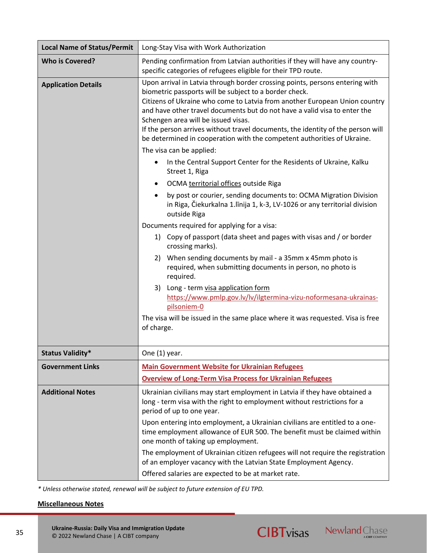| <b>Local Name of Status/Permit</b> | Long-Stay Visa with Work Authorization                                                                                                                                                                                                                                                                                                                                                                                                                                                                 |
|------------------------------------|--------------------------------------------------------------------------------------------------------------------------------------------------------------------------------------------------------------------------------------------------------------------------------------------------------------------------------------------------------------------------------------------------------------------------------------------------------------------------------------------------------|
| <b>Who is Covered?</b>             | Pending confirmation from Latvian authorities if they will have any country-<br>specific categories of refugees eligible for their TPD route.                                                                                                                                                                                                                                                                                                                                                          |
| <b>Application Details</b>         | Upon arrival in Latvia through border crossing points, persons entering with<br>biometric passports will be subject to a border check.<br>Citizens of Ukraine who come to Latvia from another European Union country<br>and have other travel documents but do not have a valid visa to enter the<br>Schengen area will be issued visas.<br>If the person arrives without travel documents, the identity of the person will<br>be determined in cooperation with the competent authorities of Ukraine. |
|                                    | The visa can be applied:                                                                                                                                                                                                                                                                                                                                                                                                                                                                               |
|                                    | In the Central Support Center for the Residents of Ukraine, Kalku<br>Street 1, Riga                                                                                                                                                                                                                                                                                                                                                                                                                    |
|                                    | OCMA territorial offices outside Riga                                                                                                                                                                                                                                                                                                                                                                                                                                                                  |
|                                    | by post or courier, sending documents to: OCMA Migration Division<br>in Riga, Čiekurkalna 1. līnija 1, k-3, LV-1026 or any territorial division<br>outside Riga                                                                                                                                                                                                                                                                                                                                        |
|                                    | Documents required for applying for a visa:                                                                                                                                                                                                                                                                                                                                                                                                                                                            |
|                                    | 1) Copy of passport (data sheet and pages with visas and / or border<br>crossing marks).                                                                                                                                                                                                                                                                                                                                                                                                               |
|                                    | 2) When sending documents by mail - a 35mm x 45mm photo is<br>required, when submitting documents in person, no photo is<br>required.                                                                                                                                                                                                                                                                                                                                                                  |
|                                    | Long - term visa application form<br>3)<br>https://www.pmlp.gov.lv/lv/ilgtermina-vizu-noformesana-ukrainas-<br>pilsoniem-0                                                                                                                                                                                                                                                                                                                                                                             |
|                                    | The visa will be issued in the same place where it was requested. Visa is free<br>of charge.                                                                                                                                                                                                                                                                                                                                                                                                           |
| <b>Status Validity*</b>            | One (1) year.                                                                                                                                                                                                                                                                                                                                                                                                                                                                                          |
| <b>Government Links</b>            | <b>Main Government Website for Ukrainian Refugees</b>                                                                                                                                                                                                                                                                                                                                                                                                                                                  |
|                                    | <b>Overview of Long-Term Visa Process for Ukrainian Refugees</b>                                                                                                                                                                                                                                                                                                                                                                                                                                       |
| <b>Additional Notes</b>            | Ukrainian civilians may start employment in Latvia if they have obtained a<br>long - term visa with the right to employment without restrictions for a<br>period of up to one year.                                                                                                                                                                                                                                                                                                                    |
|                                    | Upon entering into employment, a Ukrainian civilians are entitled to a one-<br>time employment allowance of EUR 500. The benefit must be claimed within<br>one month of taking up employment.                                                                                                                                                                                                                                                                                                          |
|                                    | The employment of Ukrainian citizen refugees will not require the registration<br>of an employer vacancy with the Latvian State Employment Agency.                                                                                                                                                                                                                                                                                                                                                     |
|                                    | Offered salaries are expected to be at market rate.                                                                                                                                                                                                                                                                                                                                                                                                                                                    |

**CIBTvisas** Newland Chase

*\* Unless otherwise stated, renewal will be subject to future extension of EU TPD.*

## **Miscellaneous Notes**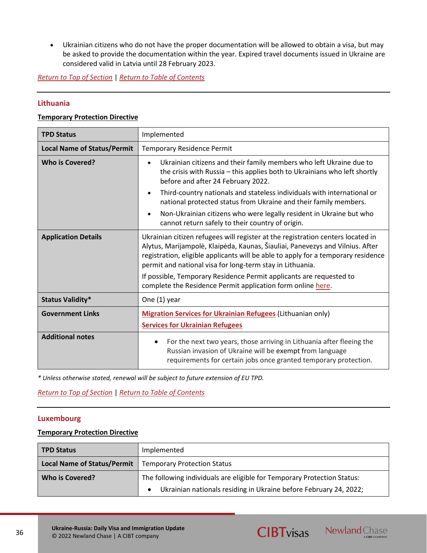• Ukrainian citizens who do not have the proper documentation will be allowed to obtain a visa, but may be asked to provide the documentation within the year. Expired travel documents issued in Ukraine are considered valid in Latvia until 28 February 2023.

*[Return to Top of Section](#page-13-0)* | *[Return to Table of Contents](#page-2-0)*

## <span id="page-35-1"></span>**Lithuania**

#### **Temporary Protection Directive**

| <b>TPD Status</b>                  | Implemented                                                                                                                                                                                                                                                                                                                                                                                                                                                                                             |
|------------------------------------|---------------------------------------------------------------------------------------------------------------------------------------------------------------------------------------------------------------------------------------------------------------------------------------------------------------------------------------------------------------------------------------------------------------------------------------------------------------------------------------------------------|
| <b>Local Name of Status/Permit</b> | <b>Temporary Residence Permit</b>                                                                                                                                                                                                                                                                                                                                                                                                                                                                       |
| <b>Who is Covered?</b>             | Ukrainian citizens and their family members who left Ukraine due to<br>$\bullet$<br>the crisis with Russia - this applies both to Ukrainians who left shortly<br>before and after 24 February 2022.<br>Third-country nationals and stateless individuals with international or<br>$\bullet$<br>national protected status from Ukraine and their family members.<br>Non-Ukrainian citizens who were legally resident in Ukraine but who<br>$\bullet$<br>cannot return safely to their country of origin. |
| <b>Application Details</b>         | Ukrainian citizen refugees will register at the registration centers located in<br>Alytus, Marijampolė, Klaipėda, Kaunas, Šiauliai, Panevezys and Vilnius. After<br>registration, eligible applicants will be able to apply for a temporary residence<br>permit and national visa for long-term stay in Lithuania.<br>If possible, Temporary Residence Permit applicants are requested to<br>complete the Residence Permit application form online here.                                                |
| <b>Status Validity*</b>            | One (1) year                                                                                                                                                                                                                                                                                                                                                                                                                                                                                            |
| <b>Government Links</b>            | <b>Migration Services for Ukrainian Refugees (Lithuanian only)</b><br><b>Services for Ukrainian Refugees</b>                                                                                                                                                                                                                                                                                                                                                                                            |
| <b>Additional notes</b>            | For the next two years, those arriving in Lithuania after fleeing the<br>Russian invasion of Ukraine will be exempt from language<br>requirements for certain jobs once granted temporary protection.                                                                                                                                                                                                                                                                                                   |

*\* Unless otherwise stated, renewal will be subject to future extension of EU TPD.*

*[Return to Top of Section](#page-13-0)* | *[Return to Table of Contents](#page-2-0)*

## <span id="page-35-0"></span>**Luxembourg**

#### **Temporary Protection Directive**

| <b>TPD Status</b>                  | Implemented                                                                    |
|------------------------------------|--------------------------------------------------------------------------------|
| <b>Local Name of Status/Permit</b> | <b>Temporary Protection Status</b>                                             |
| Who is Covered?                    | The following individuals are eligible for Temporary Protection Status:        |
|                                    | Ukrainian nationals residing in Ukraine before February 24, 2022;<br>$\bullet$ |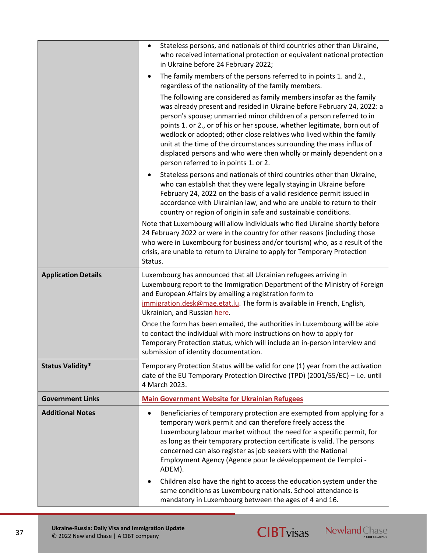|                            | Stateless persons, and nationals of third countries other than Ukraine,<br>$\bullet$<br>who received international protection or equivalent national protection<br>in Ukraine before 24 February 2022;<br>The family members of the persons referred to in points 1. and 2.,<br>$\bullet$<br>regardless of the nationality of the family members.<br>The following are considered as family members insofar as the family<br>was already present and resided in Ukraine before February 24, 2022: a<br>person's spouse; unmarried minor children of a person referred to in<br>points 1. or 2., or of his or her spouse, whether legitimate, born out of<br>wedlock or adopted; other close relatives who lived within the family<br>unit at the time of the circumstances surrounding the mass influx of<br>displaced persons and who were then wholly or mainly dependent on a<br>person referred to in points 1. or 2. |
|----------------------------|---------------------------------------------------------------------------------------------------------------------------------------------------------------------------------------------------------------------------------------------------------------------------------------------------------------------------------------------------------------------------------------------------------------------------------------------------------------------------------------------------------------------------------------------------------------------------------------------------------------------------------------------------------------------------------------------------------------------------------------------------------------------------------------------------------------------------------------------------------------------------------------------------------------------------|
|                            | Stateless persons and nationals of third countries other than Ukraine,<br>who can establish that they were legally staying in Ukraine before<br>February 24, 2022 on the basis of a valid residence permit issued in<br>accordance with Ukrainian law, and who are unable to return to their<br>country or region of origin in safe and sustainable conditions.                                                                                                                                                                                                                                                                                                                                                                                                                                                                                                                                                           |
|                            | Note that Luxembourg will allow individuals who fled Ukraine shortly before<br>24 February 2022 or were in the country for other reasons (including those<br>who were in Luxembourg for business and/or tourism) who, as a result of the<br>crisis, are unable to return to Ukraine to apply for Temporary Protection<br>Status.                                                                                                                                                                                                                                                                                                                                                                                                                                                                                                                                                                                          |
| <b>Application Details</b> | Luxembourg has announced that all Ukrainian refugees arriving in<br>Luxembourg report to the Immigration Department of the Ministry of Foreign<br>and European Affairs by emailing a registration form to<br>immigration.desk@mae.etat.lu. The form is available in French, English,<br>Ukrainian, and Russian here.                                                                                                                                                                                                                                                                                                                                                                                                                                                                                                                                                                                                      |
|                            | Once the form has been emailed, the authorities in Luxembourg will be able<br>to contact the individual with more instructions on how to apply for<br>Temporary Protection status, which will include an in-person interview and<br>submission of identity documentation.                                                                                                                                                                                                                                                                                                                                                                                                                                                                                                                                                                                                                                                 |
| <b>Status Validity*</b>    | Temporary Protection Status will be valid for one (1) year from the activation<br>date of the EU Temporary Protection Directive (TPD) (2001/55/EC) - i.e. until<br>4 March 2023.                                                                                                                                                                                                                                                                                                                                                                                                                                                                                                                                                                                                                                                                                                                                          |
| <b>Government Links</b>    | <b>Main Government Website for Ukrainian Refugees</b>                                                                                                                                                                                                                                                                                                                                                                                                                                                                                                                                                                                                                                                                                                                                                                                                                                                                     |
| <b>Additional Notes</b>    | Beneficiaries of temporary protection are exempted from applying for a<br>temporary work permit and can therefore freely access the<br>Luxembourg labour market without the need for a specific permit, for<br>as long as their temporary protection certificate is valid. The persons<br>concerned can also register as job seekers with the National<br>Employment Agency (Agence pour le développement de l'emploi -<br>ADEM).<br>Children also have the right to access the education system under the<br>٠<br>same conditions as Luxembourg nationals. School attendance is                                                                                                                                                                                                                                                                                                                                          |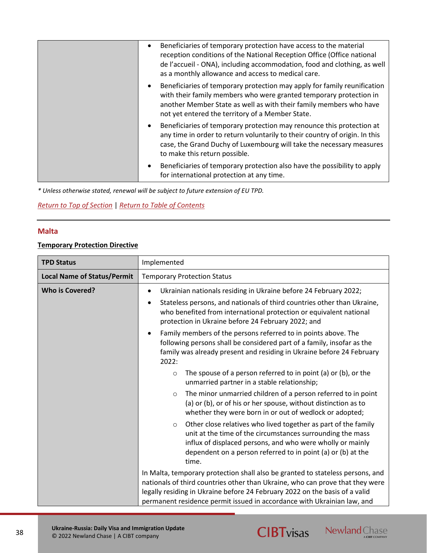| Beneficiaries of temporary protection have access to the material<br>$\bullet$<br>reception conditions of the National Reception Office (Office national<br>de l'accueil - ONA), including accommodation, food and clothing, as well<br>as a monthly allowance and access to medical care. |
|--------------------------------------------------------------------------------------------------------------------------------------------------------------------------------------------------------------------------------------------------------------------------------------------|
| Beneficiaries of temporary protection may apply for family reunification<br>٠<br>with their family members who were granted temporary protection in<br>another Member State as well as with their family members who have<br>not yet entered the territory of a Member State.              |
| Beneficiaries of temporary protection may renounce this protection at<br>$\bullet$<br>any time in order to return voluntarily to their country of origin. In this<br>case, the Grand Duchy of Luxembourg will take the necessary measures<br>to make this return possible.                 |
| Beneficiaries of temporary protection also have the possibility to apply<br>for international protection at any time.                                                                                                                                                                      |

## *[Return to Top of Section](#page-13-0)* | *[Return to Table of Contents](#page-2-0)*

## <span id="page-37-0"></span>**Malta**

38

### **Temporary Protection Directive**

| <b>TPD Status</b>                  | Implemented                                                                                                                                                                                                                                                                                                               |
|------------------------------------|---------------------------------------------------------------------------------------------------------------------------------------------------------------------------------------------------------------------------------------------------------------------------------------------------------------------------|
| <b>Local Name of Status/Permit</b> | <b>Temporary Protection Status</b>                                                                                                                                                                                                                                                                                        |
| <b>Who is Covered?</b>             | Ukrainian nationals residing in Ukraine before 24 February 2022;<br>$\bullet$<br>Stateless persons, and nationals of third countries other than Ukraine,<br>$\bullet$<br>who benefited from international protection or equivalent national<br>protection in Ukraine before 24 February 2022; and                         |
|                                    | Family members of the persons referred to in points above. The<br>$\bullet$<br>following persons shall be considered part of a family, insofar as the<br>family was already present and residing in Ukraine before 24 February<br>2022:                                                                                   |
|                                    | The spouse of a person referred to in point (a) or (b), or the<br>$\circ$<br>unmarried partner in a stable relationship;                                                                                                                                                                                                  |
|                                    | The minor unmarried children of a person referred to in point<br>$\circ$<br>(a) or (b), or of his or her spouse, without distinction as to<br>whether they were born in or out of wedlock or adopted;                                                                                                                     |
|                                    | Other close relatives who lived together as part of the family<br>$\circ$<br>unit at the time of the circumstances surrounding the mass<br>influx of displaced persons, and who were wholly or mainly<br>dependent on a person referred to in point (a) or (b) at the<br>time.                                            |
|                                    | In Malta, temporary protection shall also be granted to stateless persons, and<br>nationals of third countries other than Ukraine, who can prove that they were<br>legally residing in Ukraine before 24 February 2022 on the basis of a valid<br>permanent residence permit issued in accordance with Ukrainian law, and |

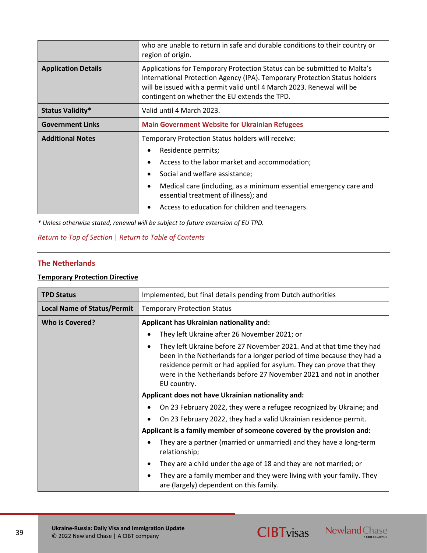|                            | who are unable to return in safe and durable conditions to their country or<br>region of origin.                                                                                                                                                                                  |
|----------------------------|-----------------------------------------------------------------------------------------------------------------------------------------------------------------------------------------------------------------------------------------------------------------------------------|
| <b>Application Details</b> | Applications for Temporary Protection Status can be submitted to Malta's<br>International Protection Agency (IPA). Temporary Protection Status holders<br>will be issued with a permit valid until 4 March 2023. Renewal will be<br>contingent on whether the EU extends the TPD. |
| <b>Status Validity*</b>    | Valid until 4 March 2023.                                                                                                                                                                                                                                                         |
| <b>Government Links</b>    | <b>Main Government Website for Ukrainian Refugees</b>                                                                                                                                                                                                                             |
| <b>Additional Notes</b>    | Temporary Protection Status holders will receive:                                                                                                                                                                                                                                 |
|                            | Residence permits;                                                                                                                                                                                                                                                                |
|                            | Access to the labor market and accommodation;                                                                                                                                                                                                                                     |
|                            | Social and welfare assistance;                                                                                                                                                                                                                                                    |
|                            | Medical care (including, as a minimum essential emergency care and<br>essential treatment of illness); and                                                                                                                                                                        |
|                            | Access to education for children and teenagers.                                                                                                                                                                                                                                   |

*[Return to Top of Section](#page-13-0)* | *[Return to Table of Contents](#page-2-0)*

## **The Netherlands**

## **Temporary Protection Directive**

| <b>TPD Status</b>                  | Implemented, but final details pending from Dutch authorities                                                                                                                                                                                                                                               |
|------------------------------------|-------------------------------------------------------------------------------------------------------------------------------------------------------------------------------------------------------------------------------------------------------------------------------------------------------------|
| <b>Local Name of Status/Permit</b> | <b>Temporary Protection Status</b>                                                                                                                                                                                                                                                                          |
| Who is Covered?                    | Applicant has Ukrainian nationality and:                                                                                                                                                                                                                                                                    |
|                                    | They left Ukraine after 26 November 2021; or                                                                                                                                                                                                                                                                |
|                                    | They left Ukraine before 27 November 2021. And at that time they had<br>been in the Netherlands for a longer period of time because they had a<br>residence permit or had applied for asylum. They can prove that they<br>were in the Netherlands before 27 November 2021 and not in another<br>EU country. |
|                                    | Applicant does not have Ukrainian nationality and:                                                                                                                                                                                                                                                          |
|                                    | On 23 February 2022, they were a refugee recognized by Ukraine; and                                                                                                                                                                                                                                         |
|                                    | On 23 February 2022, they had a valid Ukrainian residence permit.                                                                                                                                                                                                                                           |
|                                    | Applicant is a family member of someone covered by the provision and:                                                                                                                                                                                                                                       |
|                                    | They are a partner (married or unmarried) and they have a long-term<br>relationship;                                                                                                                                                                                                                        |
|                                    | They are a child under the age of 18 and they are not married; or                                                                                                                                                                                                                                           |
|                                    | They are a family member and they were living with your family. They<br>are (largely) dependent on this family.                                                                                                                                                                                             |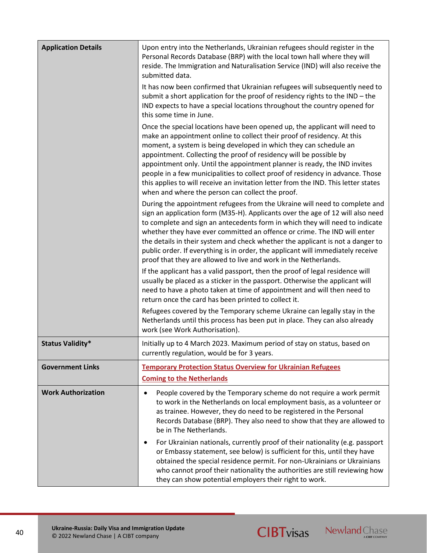| <b>Application Details</b> | Upon entry into the Netherlands, Ukrainian refugees should register in the<br>Personal Records Database (BRP) with the local town hall where they will<br>reside. The Immigration and Naturalisation Service (IND) will also receive the<br>submitted data.                                                                                                                                                                                                                                                                                                                                               |
|----------------------------|-----------------------------------------------------------------------------------------------------------------------------------------------------------------------------------------------------------------------------------------------------------------------------------------------------------------------------------------------------------------------------------------------------------------------------------------------------------------------------------------------------------------------------------------------------------------------------------------------------------|
|                            | It has now been confirmed that Ukrainian refugees will subsequently need to<br>submit a short application for the proof of residency rights to the IND - the<br>IND expects to have a special locations throughout the country opened for<br>this some time in June.                                                                                                                                                                                                                                                                                                                                      |
|                            | Once the special locations have been opened up, the applicant will need to<br>make an appointment online to collect their proof of residency. At this<br>moment, a system is being developed in which they can schedule an<br>appointment. Collecting the proof of residency will be possible by<br>appointment only. Until the appointment planner is ready, the IND invites<br>people in a few municipalities to collect proof of residency in advance. Those<br>this applies to will receive an invitation letter from the IND. This letter states<br>when and where the person can collect the proof. |
|                            | During the appointment refugees from the Ukraine will need to complete and<br>sign an application form (M35-H). Applicants over the age of 12 will also need<br>to complete and sign an antecedents form in which they will need to indicate<br>whether they have ever committed an offence or crime. The IND will enter<br>the details in their system and check whether the applicant is not a danger to<br>public order. If everything is in order, the applicant will immediately receive<br>proof that they are allowed to live and work in the Netherlands.                                         |
|                            | If the applicant has a valid passport, then the proof of legal residence will<br>usually be placed as a sticker in the passport. Otherwise the applicant will<br>need to have a photo taken at time of appointment and will then need to<br>return once the card has been printed to collect it.                                                                                                                                                                                                                                                                                                          |
|                            | Refugees covered by the Temporary scheme Ukraine can legally stay in the<br>Netherlands until this process has been put in place. They can also already<br>work (see Work Authorisation).                                                                                                                                                                                                                                                                                                                                                                                                                 |
| <b>Status Validity*</b>    | Initially up to 4 March 2023. Maximum period of stay on status, based on<br>currently regulation, would be for 3 years.                                                                                                                                                                                                                                                                                                                                                                                                                                                                                   |
| <b>Government Links</b>    | <b>Temporary Protection Status Overview for Ukrainian Refugees</b><br><b>Coming to the Netherlands</b>                                                                                                                                                                                                                                                                                                                                                                                                                                                                                                    |
| <b>Work Authorization</b>  | People covered by the Temporary scheme do not require a work permit<br>$\bullet$<br>to work in the Netherlands on local employment basis, as a volunteer or<br>as trainee. However, they do need to be registered in the Personal<br>Records Database (BRP). They also need to show that they are allowed to<br>be in The Netherlands.                                                                                                                                                                                                                                                                    |
|                            | For Ukrainian nationals, currently proof of their nationality (e.g. passport<br>٠<br>or Embassy statement, see below) is sufficient for this, until they have<br>obtained the special residence permit. For non-Ukrainians or Ukrainians<br>who cannot proof their nationality the authorities are still reviewing how<br>they can show potential employers their right to work.                                                                                                                                                                                                                          |

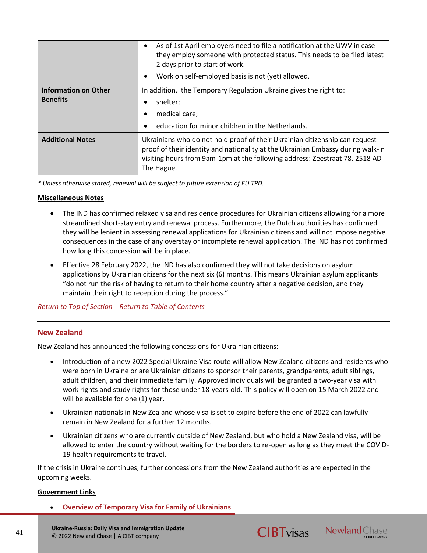|                                                | As of 1st April employers need to file a notification at the UWV in case<br>$\bullet$<br>they employ someone with protected status. This needs to be filed latest<br>2 days prior to start of work.<br>Work on self-employed basis is not (yet) allowed.    |
|------------------------------------------------|-------------------------------------------------------------------------------------------------------------------------------------------------------------------------------------------------------------------------------------------------------------|
| <b>Information on Other</b><br><b>Benefits</b> | In addition, the Temporary Regulation Ukraine gives the right to:<br>shelter;<br>medical care;<br>education for minor children in the Netherlands.                                                                                                          |
| <b>Additional Notes</b>                        | Ukrainians who do not hold proof of their Ukrainian citizenship can request<br>proof of their identity and nationality at the Ukrainian Embassy during walk-in<br>visiting hours from 9am-1pm at the following address: Zeestraat 78, 2518 AD<br>The Hague. |

## **Miscellaneous Notes**

- The IND has confirmed relaxed visa and residence procedures for Ukrainian citizens allowing for a more streamlined short-stay entry and renewal process. Furthermore, the Dutch authorities has confirmed they will be lenient in assessing renewal applications for Ukrainian citizens and will not impose negative consequences in the case of any overstay or incomplete renewal application. The IND has not confirmed how long this concession will be in place.
- Effective 28 February 2022, the IND has also confirmed they will not take decisions on asylum applications by Ukrainian citizens for the next six (6) months. This means Ukrainian asylum applicants "do not run the risk of having to return to their home country after a negative decision, and they maintain their right to reception during the process."

*[Return to Top of Section](#page-13-0)* | *[Return to Table of Contents](#page-2-0)*

## <span id="page-40-0"></span>**New Zealand**

New Zealand has announced the following concessions for Ukrainian citizens:

- Introduction of a new 2022 Special Ukraine Visa route will allow New Zealand citizens and residents who were born in Ukraine or are Ukrainian citizens to sponsor their parents, grandparents, adult siblings, adult children, and their immediate family. Approved individuals will be granted a two-year visa with work rights and study rights for those under 18-years-old. This policy will open on 15 March 2022 and will be available for one (1) year.
- Ukrainian nationals in New Zealand whose visa is set to expire before the end of 2022 can lawfully remain in New Zealand for a further 12 months.
- Ukrainian citizens who are currently outside of New Zealand, but who hold a New Zealand visa, will be allowed to enter the country without waiting for the borders to re-open as long as they meet the COVID-19 health requirements to travel.

If the crisis in Ukraine continues, further concessions from the New Zealand authorities are expected in the upcoming weeks.

#### **Government Links**

• **[Overview of Temporary Visa for Family of Ukrainians](https://www.immigration.govt.nz/new-zealand-visas/apply-for-a-visa/tools-and-information/support-family/new-temporary-visa-for-family-of-ukrainians-in-new-zealand)**

**Ukraine-Russia: Daily Visa and Immigration Update** © 2022 Newland Chase | A CIBT company



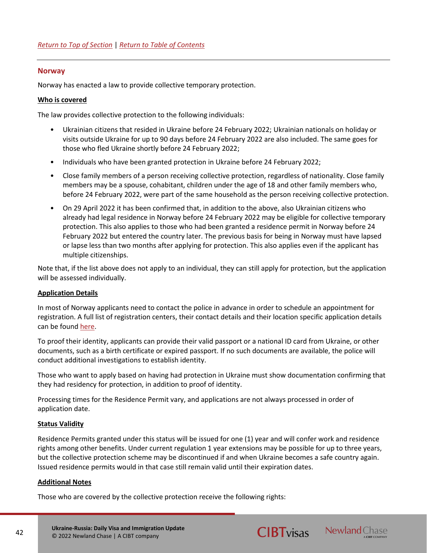## **Norway**

Norway has enacted a law to provide collective temporary protection.

#### **Who is covered**

The law provides collective protection to the following individuals:

- Ukrainian citizens that resided in Ukraine before 24 February 2022; Ukrainian nationals on holiday or visits outside Ukraine for up to 90 days before 24 February 2022 are also included. The same goes for those who fled Ukraine shortly before 24 February 2022;
- Individuals who have been granted protection in Ukraine before 24 February 2022;
- Close family members of a person receiving collective protection, regardless of nationality. Close family members may be a spouse, cohabitant, children under the age of 18 and other family members who, before 24 February 2022, were part of the same household as the person receiving collective protection.
- On 29 April 2022 it has been confirmed that, in addition to the above, also Ukrainian citizens who already had legal residence in Norway before 24 February 2022 may be eligible for collective temporary protection. This also applies to those who had been granted a residence permit in Norway before 24 February 2022 but entered the country later. The previous basis for being in Norway must have lapsed or lapse less than two months after applying for protection. This also applies even if the applicant has multiple citizenships.

Note that, if the list above does not apply to an individual, they can still apply for protection, but the application will be assessed individually.

#### **Application Details**

In most of Norway applicants need to contact the police in advance in order to schedule an appointment for registration. A full list of registration centers, their contact details and their location specific application details can be found [here.](https://www.politiet.no/en/services/residence-permits-and-protection/the-war-in-ukraine/applying-for-collective-protection-as-a-ukrainian-national/)

To proof their identity, applicants can provide their valid passport or a national ID card from Ukraine, or other documents, such as a birth certificate or expired passport. If no such documents are available, the police will conduct additional investigations to establish identity.

Those who want to apply based on having had protection in Ukraine must show documentation confirming that they had residency for protection, in addition to proof of identity.

Processing times for the Residence Permit vary, and applications are not always processed in order of application date.

#### **Status Validity**

Residence Permits granted under this status will be issued for one (1) year and will confer work and residence rights among other benefits. Under current regulation 1 year extensions may be possible for up to three years, but the collective protection scheme may be discontinued if and when Ukraine becomes a safe country again. Issued residence permits would in that case still remain valid until their expiration dates.

#### **Additional Notes**

Those who are covered by the collective protection receive the following rights:



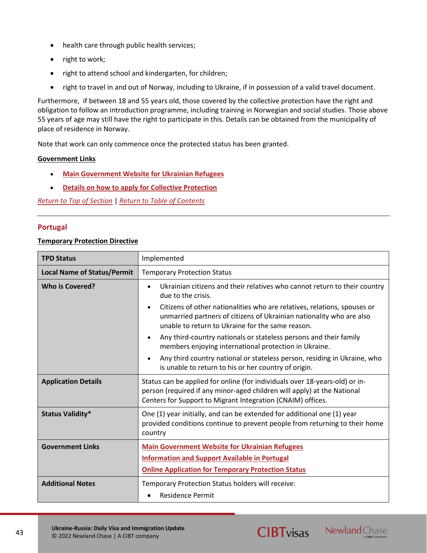- health care through public health services;
- right to work;
- right to attend school and kindergarten, for children;
- right to travel in and out of Norway, including to Ukraine, if in possession of a valid travel document.

Furthermore, if between 18 and 55 years old, those covered by the collective protection have the right and obligation to follow an introduction programme, including training in Norwegian and social studies. Those above 55 years of age may still have the right to participate in this. Details can be obtained from the municipality of place of residence in Norway.

Note that work can only commence once the protected status has been granted.

## **Government Links**

- **[Main Government Website for Ukrainian Refugees](https://www.udi.no/en/situation-in-ukraine/)**
- **[Details on how to apply for Collective Protection](https://www.udi.no/en/situation-in-ukraine/stay-in-norway/protection-asylum-in-norway/want-to-apply-rights-and-obligations/#link-30168)**

*[Return to Top of Section](#page-13-0)* | *[Return to Table of Contents](#page-2-0)*

## <span id="page-42-0"></span>**Portugal**

## **Temporary Protection Directive**

| <b>TPD Status</b>                  | Implemented                                                                                                                                                                                                                                                                                                                                                                                                                                                                                                                                                                                                      |
|------------------------------------|------------------------------------------------------------------------------------------------------------------------------------------------------------------------------------------------------------------------------------------------------------------------------------------------------------------------------------------------------------------------------------------------------------------------------------------------------------------------------------------------------------------------------------------------------------------------------------------------------------------|
| <b>Local Name of Status/Permit</b> | <b>Temporary Protection Status</b>                                                                                                                                                                                                                                                                                                                                                                                                                                                                                                                                                                               |
| <b>Who is Covered?</b>             | Ukrainian citizens and their relatives who cannot return to their country<br>due to the crisis.<br>Citizens of other nationalities who are relatives, relations, spouses or<br>$\bullet$<br>unmarried partners of citizens of Ukrainian nationality who are also<br>unable to return to Ukraine for the same reason.<br>Any third-country nationals or stateless persons and their family<br>$\bullet$<br>members enjoying international protection in Ukraine.<br>Any third country national or stateless person, residing in Ukraine, who<br>$\bullet$<br>is unable to return to his or her country of origin. |
| <b>Application Details</b>         | Status can be applied for online (for individuals over 18-years-old) or in-<br>person (required if any minor-aged children will apply) at the National<br>Centers for Support to Migrant Integration (CNAIM) offices.                                                                                                                                                                                                                                                                                                                                                                                            |
| <b>Status Validity*</b>            | One (1) year initially, and can be extended for additional one (1) year<br>provided conditions continue to prevent people from returning to their home<br>country                                                                                                                                                                                                                                                                                                                                                                                                                                                |
| <b>Government Links</b>            | <b>Main Government Website for Ukrainian Refugees</b><br><b>Information and Support Available in Portugal</b><br><b>Online Application for Temporary Protection Status</b>                                                                                                                                                                                                                                                                                                                                                                                                                                       |
| <b>Additional Notes</b>            | Temporary Protection Status holders will receive:<br><b>Residence Permit</b>                                                                                                                                                                                                                                                                                                                                                                                                                                                                                                                                     |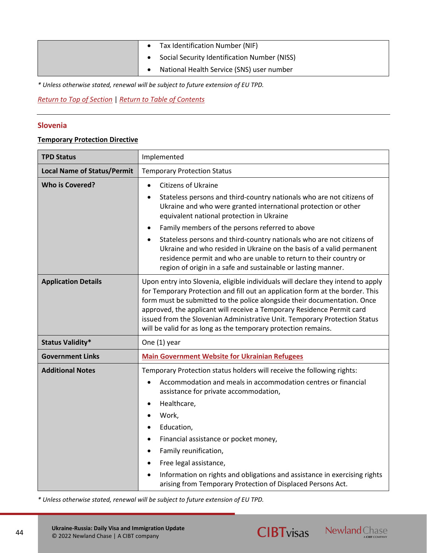| Tax Identification Number (NIF)              |
|----------------------------------------------|
| Social Security Identification Number (NISS) |
| National Health Service (SNS) user number    |

*[Return to Top of Section](#page-13-0)* | *[Return to Table of Contents](#page-2-0)*

## <span id="page-43-0"></span>**Slovenia**

## **Temporary Protection Directive**

| <b>TPD Status</b>                  | Implemented                                                                                                                                                                                                                                                                                                                                                                                                                                                                                                                                                                                                      |
|------------------------------------|------------------------------------------------------------------------------------------------------------------------------------------------------------------------------------------------------------------------------------------------------------------------------------------------------------------------------------------------------------------------------------------------------------------------------------------------------------------------------------------------------------------------------------------------------------------------------------------------------------------|
| <b>Local Name of Status/Permit</b> | <b>Temporary Protection Status</b>                                                                                                                                                                                                                                                                                                                                                                                                                                                                                                                                                                               |
| <b>Who is Covered?</b>             | <b>Citizens of Ukraine</b><br>$\bullet$<br>Stateless persons and third-country nationals who are not citizens of<br>$\bullet$<br>Ukraine and who were granted international protection or other<br>equivalent national protection in Ukraine<br>Family members of the persons referred to above<br>$\bullet$<br>Stateless persons and third-country nationals who are not citizens of<br>$\bullet$<br>Ukraine and who resided in Ukraine on the basis of a valid permanent<br>residence permit and who are unable to return to their country or<br>region of origin in a safe and sustainable or lasting manner. |
| <b>Application Details</b>         | Upon entry into Slovenia, eligible individuals will declare they intend to apply<br>for Temporary Protection and fill out an application form at the border. This<br>form must be submitted to the police alongside their documentation. Once<br>approved, the applicant will receive a Temporary Residence Permit card<br>issued from the Slovenian Administrative Unit. Temporary Protection Status<br>will be valid for as long as the temporary protection remains.                                                                                                                                          |
| <b>Status Validity*</b>            | One (1) year                                                                                                                                                                                                                                                                                                                                                                                                                                                                                                                                                                                                     |
| <b>Government Links</b>            | <b>Main Government Website for Ukrainian Refugees</b>                                                                                                                                                                                                                                                                                                                                                                                                                                                                                                                                                            |
| <b>Additional Notes</b>            | Temporary Protection status holders will receive the following rights:<br>Accommodation and meals in accommodation centres or financial<br>assistance for private accommodation,<br>Healthcare,<br>$\bullet$<br>Work,<br>Education,<br>$\bullet$<br>Financial assistance or pocket money,<br>$\bullet$<br>Family reunification,<br>$\bullet$<br>Free legal assistance,<br>$\bullet$<br>Information on rights and obligations and assistance in exercising rights<br>arising from Temporary Protection of Displaced Persons Act.                                                                                  |

*\* Unless otherwise stated, renewal will be subject to future extension of EU TPD.*

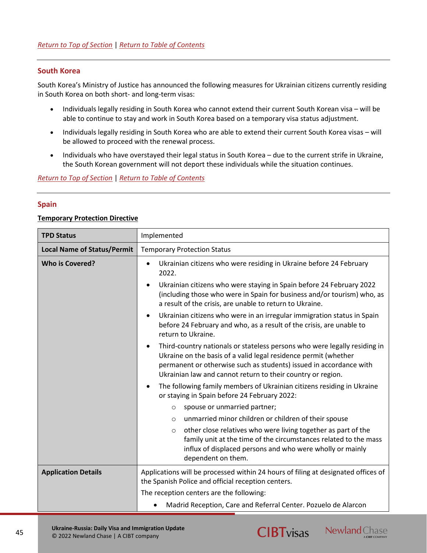## **South Korea**

South Korea's Ministry of Justice has announced the following measures for Ukrainian citizens currently residing in South Korea on both short- and long-term visas:

- Individuals legally residing in South Korea who cannot extend their current South Korean visa will be able to continue to stay and work in South Korea based on a temporary visa status adjustment.
- Individuals legally residing in South Korea who are able to extend their current South Korea visas will be allowed to proceed with the renewal process.
- Individuals who have overstayed their legal status in South Korea due to the current strife in Ukraine, the South Korean government will not deport these individuals while the situation continues.

*[Return to Top of Section](#page-13-0)* | *[Return to Table of Contents](#page-2-0)*

#### <span id="page-44-0"></span>**Spain**

#### **Temporary Protection Directive**

| <b>TPD Status</b>                  | Implemented                                                                                                                                                                                                                                                                                    |
|------------------------------------|------------------------------------------------------------------------------------------------------------------------------------------------------------------------------------------------------------------------------------------------------------------------------------------------|
| <b>Local Name of Status/Permit</b> | <b>Temporary Protection Status</b>                                                                                                                                                                                                                                                             |
| <b>Who is Covered?</b>             | Ukrainian citizens who were residing in Ukraine before 24 February<br>$\bullet$<br>2022.<br>Ukrainian citizens who were staying in Spain before 24 February 2022<br>$\bullet$<br>(including those who were in Spain for business and/or tourism) who, as                                       |
|                                    | a result of the crisis, are unable to return to Ukraine.                                                                                                                                                                                                                                       |
|                                    | Ukrainian citizens who were in an irregular immigration status in Spain<br>$\bullet$<br>before 24 February and who, as a result of the crisis, are unable to<br>return to Ukraine.                                                                                                             |
|                                    | Third-country nationals or stateless persons who were legally residing in<br>$\bullet$<br>Ukraine on the basis of a valid legal residence permit (whether<br>permanent or otherwise such as students) issued in accordance with<br>Ukrainian law and cannot return to their country or region. |
|                                    | The following family members of Ukrainian citizens residing in Ukraine<br>or staying in Spain before 24 February 2022:                                                                                                                                                                         |
|                                    | spouse or unmarried partner;<br>$\circ$                                                                                                                                                                                                                                                        |
|                                    | unmarried minor children or children of their spouse<br>$\circ$                                                                                                                                                                                                                                |
|                                    | other close relatives who were living together as part of the<br>$\circ$<br>family unit at the time of the circumstances related to the mass<br>influx of displaced persons and who were wholly or mainly<br>dependent on them.                                                                |
| <b>Application Details</b>         | Applications will be processed within 24 hours of filing at designated offices of<br>the Spanish Police and official reception centers.                                                                                                                                                        |
|                                    | The reception centers are the following:                                                                                                                                                                                                                                                       |
|                                    | Madrid Reception, Care and Referral Center. Pozuelo de Alarcon                                                                                                                                                                                                                                 |





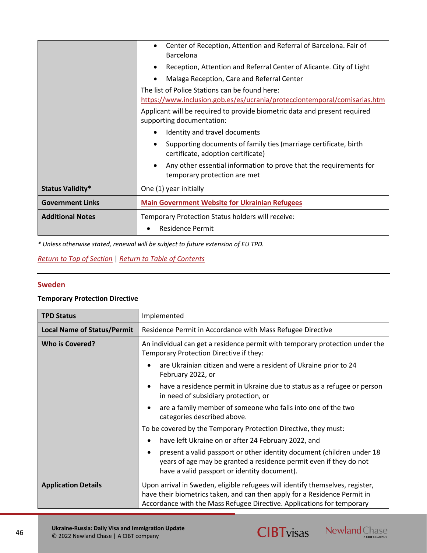|                         | Center of Reception, Attention and Referral of Barcelona. Fair of<br>Barcelona<br>Reception, Attention and Referral Center of Alicante. City of Light<br>Malaga Reception, Care and Referral Center<br>The list of Police Stations can be found here:<br>https://www.inclusion.gob.es/es/ucrania/protecciontemporal/comisarias.htm<br>Applicant will be required to provide biometric data and present required<br>supporting documentation: |  |  |  |  |
|-------------------------|----------------------------------------------------------------------------------------------------------------------------------------------------------------------------------------------------------------------------------------------------------------------------------------------------------------------------------------------------------------------------------------------------------------------------------------------|--|--|--|--|
|                         | Identity and travel documents                                                                                                                                                                                                                                                                                                                                                                                                                |  |  |  |  |
|                         | Supporting documents of family ties (marriage certificate, birth<br>certificate, adoption certificate)                                                                                                                                                                                                                                                                                                                                       |  |  |  |  |
|                         | Any other essential information to prove that the requirements for<br>temporary protection are met                                                                                                                                                                                                                                                                                                                                           |  |  |  |  |
| <b>Status Validity*</b> | One (1) year initially                                                                                                                                                                                                                                                                                                                                                                                                                       |  |  |  |  |
| <b>Government Links</b> | <b>Main Government Website for Ukrainian Refugees</b>                                                                                                                                                                                                                                                                                                                                                                                        |  |  |  |  |
| <b>Additional Notes</b> | Temporary Protection Status holders will receive:<br><b>Residence Permit</b><br>٠                                                                                                                                                                                                                                                                                                                                                            |  |  |  |  |

## *[Return to Top of Section](#page-13-0)* | *[Return to Table of Contents](#page-2-0)*

## <span id="page-45-0"></span>**Sweden**

## **Temporary Protection Directive**

| <b>TPD Status</b>                  | Implemented                                                                                                                                                                                                                          |  |  |
|------------------------------------|--------------------------------------------------------------------------------------------------------------------------------------------------------------------------------------------------------------------------------------|--|--|
| <b>Local Name of Status/Permit</b> | Residence Permit in Accordance with Mass Refugee Directive                                                                                                                                                                           |  |  |
| <b>Who is Covered?</b>             | An individual can get a residence permit with temporary protection under the<br>Temporary Protection Directive if they:                                                                                                              |  |  |
|                                    | are Ukrainian citizen and were a resident of Ukraine prior to 24<br>$\bullet$<br>February 2022, or                                                                                                                                   |  |  |
|                                    | have a residence permit in Ukraine due to status as a refugee or person<br>$\bullet$<br>in need of subsidiary protection, or                                                                                                         |  |  |
|                                    | are a family member of someone who falls into one of the two<br>$\bullet$<br>categories described above.                                                                                                                             |  |  |
|                                    | To be covered by the Temporary Protection Directive, they must:                                                                                                                                                                      |  |  |
|                                    | have left Ukraine on or after 24 February 2022, and<br>$\bullet$                                                                                                                                                                     |  |  |
|                                    | present a valid passport or other identity document (children under 18<br>$\bullet$<br>years of age may be granted a residence permit even if they do not<br>have a valid passport or identity document).                            |  |  |
| <b>Application Details</b>         | Upon arrival in Sweden, eligible refugees will identify themselves, register,<br>have their biometrics taken, and can then apply for a Residence Permit in<br>Accordance with the Mass Refugee Directive. Applications for temporary |  |  |

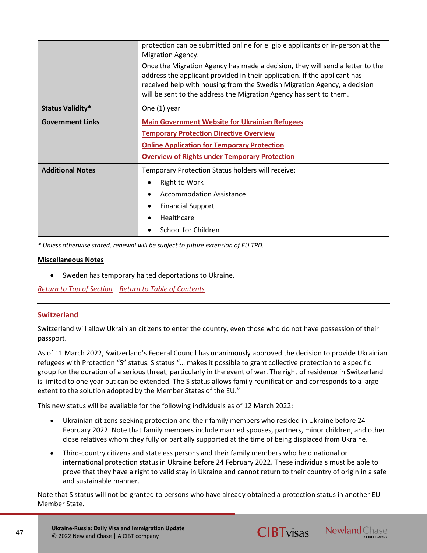|                         | protection can be submitted online for eligible applicants or in-person at the<br>Migration Agency.                                                                                                                                                                                                          |  |  |  |  |
|-------------------------|--------------------------------------------------------------------------------------------------------------------------------------------------------------------------------------------------------------------------------------------------------------------------------------------------------------|--|--|--|--|
|                         | Once the Migration Agency has made a decision, they will send a letter to the<br>address the applicant provided in their application. If the applicant has<br>received help with housing from the Swedish Migration Agency, a decision<br>will be sent to the address the Migration Agency has sent to them. |  |  |  |  |
| Status Validity*        | One (1) year                                                                                                                                                                                                                                                                                                 |  |  |  |  |
| <b>Government Links</b> | <b>Main Government Website for Ukrainian Refugees</b>                                                                                                                                                                                                                                                        |  |  |  |  |
|                         | <b>Temporary Protection Directive Overview</b><br><b>Online Application for Temporary Protection</b><br><b>Overview of Rights under Temporary Protection</b>                                                                                                                                                 |  |  |  |  |
|                         |                                                                                                                                                                                                                                                                                                              |  |  |  |  |
|                         |                                                                                                                                                                                                                                                                                                              |  |  |  |  |
| <b>Additional Notes</b> | Temporary Protection Status holders will receive:                                                                                                                                                                                                                                                            |  |  |  |  |
|                         | <b>Right to Work</b>                                                                                                                                                                                                                                                                                         |  |  |  |  |
|                         | <b>Accommodation Assistance</b>                                                                                                                                                                                                                                                                              |  |  |  |  |
|                         | <b>Financial Support</b>                                                                                                                                                                                                                                                                                     |  |  |  |  |
|                         | Healthcare                                                                                                                                                                                                                                                                                                   |  |  |  |  |
|                         | <b>School for Children</b>                                                                                                                                                                                                                                                                                   |  |  |  |  |

### **Miscellaneous Notes**

• Sweden has temporary halted deportations to Ukraine.

*[Return to Top of Section](#page-13-0)* | *[Return to Table of Contents](#page-2-0)*

## <span id="page-46-0"></span>**Switzerland**

Switzerland will allow Ukrainian citizens to enter the country, even those who do not have possession of their passport.

As of 11 March 2022, Switzerland's Federal Council has unanimously approved the decision to provide Ukrainian refugees with Protection "S" status. S status "… makes it possible to grant collective protection to a specific group for the duration of a serious threat, particularly in the event of war. The right of residence in Switzerland is limited to one year but can be extended. The S status allows family reunification and corresponds to a large extent to the solution adopted by the Member States of the EU."

This new status will be available for the following individuals as of 12 March 2022:

- Ukrainian citizens seeking protection and their family members who resided in Ukraine before 24 February 2022. Note that family members include married spouses, partners, minor children, and other close relatives whom they fully or partially supported at the time of being displaced from Ukraine.
- Third-country citizens and stateless persons and their family members who held national or international protection status in Ukraine before 24 February 2022. These individuals must be able to prove that they have a right to valid stay in Ukraine and cannot return to their country of origin in a safe and sustainable manner.

Note that S status will not be granted to persons who have already obtained a protection status in another EU Member State.



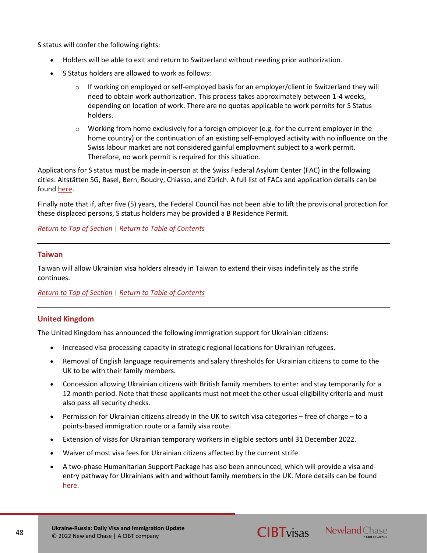S status will confer the following rights:

- Holders will be able to exit and return to Switzerland without needing prior authorization.
- S Status holders are allowed to work as follows:
	- o If working on employed or self-employed basis for an employer/client in Switzerland they will need to obtain work authorization. This process takes approximately between 1-4 weeks, depending on location of work. There are no quotas applicable to work permits for S Status holders.
	- $\circ$  Working from home exclusively for a foreign employer (e.g. for the current employer in the home country) or the continuation of an existing self-employed activity with no influence on the Swiss labour market are not considered gainful employment subject to a work permit. Therefore, no work permit is required for this situation.

Applications for S status must be made in-person at the Swiss Federal Asylum Center (FAC) in the following cities: Altstätten SG, Basel, Bern, Boudry, Chiasso, and Zürich. A full list of FACs and application details can be found [here.](https://www.ge.ch/en/conflict-ukraine/applying-protection-status-and-permit)

Finally note that if, after five (5) years, the Federal Council has not been able to lift the provisional protection for these displaced persons, S status holders may be provided a B Residence Permit.

*[Return to Top of Section](#page-13-0)* | *[Return to Table of Contents](#page-2-0)*

### <span id="page-47-0"></span>**Taiwan**

Taiwan will allow Ukrainian visa holders already in Taiwan to extend their visas indefinitely as the strife continues.

*[Return to Top of Section](#page-13-0)* | *[Return to Table of Contents](#page-2-0)*

## <span id="page-47-1"></span>**United Kingdom**

The United Kingdom has announced the following immigration support for Ukrainian citizens:

- Increased visa processing capacity in strategic regional locations for Ukrainian refugees.
- Removal of English language requirements and salary thresholds for Ukrainian citizens to come to the UK to be with their family members.
- Concession allowing Ukrainian citizens with British family members to enter and stay temporarily for a 12 month period. Note that these applicants must not meet the other usual eligibility criteria and must also pass all security checks.
- Permission for Ukrainian citizens already in the UK to switch visa categories free of charge to a points-based immigration route or a family visa route.
- Extension of visas for Ukrainian temporary workers in eligible sectors until 31 December 2022.
- Waiver of most visa fees for Ukrainian citizens affected by the current strife.
- A two-phase Humanitarian Support Package has also been announced, which will provide a visa and entry pathway for Ukrainians with and without family members in the UK. More details can be found [here.](https://www.gov.uk/government/speeches/home-secretary-statement-on-humanitarian-support-for-ukrainians)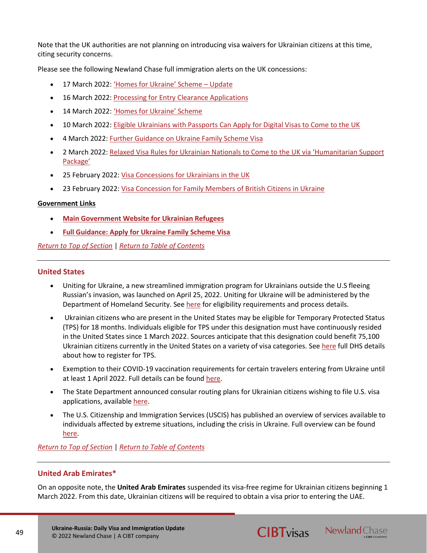Note that the UK authorities are not planning on introducing visa waivers for Ukrainian citizens at this time, citing security concerns.

Please see the following Newland Chase full immigration alerts on the UK concessions:

- 17 March 2022: ['Homes for Ukraine' Scheme –](https://newlandchase.com/united-kingdom-homes-for-ukraine-scheme-2/) Update
- 16 March 2022: [Processing for Entry Clearance Applications](https://newlandchase.com/united-kingdom-processing-for-entry-clearance-applications/)
- 14 March 2022: ['Homes for Ukraine' Scheme](https://newlandchase.com/united-kingdom-homes-for-ukraine-scheme/)
- 10 March 2022: [Eligible Ukrainians with Passports Can Apply for Digital Visas to Come to the UK](https://newlandchase.com/united-kingdom-eligible-ukrainians-with-passports-can-apply-for-digital-visas-to-come-to-the-uk/)
- 4 March 2022: [Further Guidance on Ukraine Family Scheme Visa](https://newlandchase.com/united-kingdom-further-guidance-on-ukraine-family-scheme-visa/)
- 2 March 2022: [Relaxed Visa Rules for Ukrainian Nationals to Come to the](https://newlandchase.com/united-kingdom-relaxed-visa-rules-for-ukrainian-nationals-to-come-to-the-uk-via-humanitarian-support-package/) UK via 'Humanitarian Support [Package'](https://newlandchase.com/united-kingdom-relaxed-visa-rules-for-ukrainian-nationals-to-come-to-the-uk-via-humanitarian-support-package/)
- 25 February 2022: [Visa Concessions for Ukrainians in the UK](https://newlandchase.com/united-kingdom-visa-concessions-for-ukrainians-in-the-uk/)
- 23 February 2022: [Visa Concession for Family Members of British Citizens in Ukraine](https://newlandchase.com/united-kingdom-visa-concession-for-family-members-of-british-citizens-in-ukraine/)

## **Government Links**

- **[Main Government Website for Ukrainian Refugees](https://www.gov.uk/guidance/support-for-family-members-of-british-nationals-in-ukraine-and-ukrainian-nationals-in-ukraine-and-the-uk)**
- **[Full Guidance: Apply for Ukraine Family Scheme Visa](https://www.gov.uk/guidance/apply-for-a-ukraine-family-scheme-visa)**

*[Return to Top of Section](#page-13-0)* | *[Return to Table of Contents](#page-2-0)*

## <span id="page-48-0"></span>**United States**

- Uniting for Ukraine, a new streamlined immigration program for Ukrainians outside the U.S fleeing Russian's invasion, was launched on April 25, 2022. Uniting for Ukraine will be administered by the Department of Homeland Security. See [here](https://www.uscis.gov/humanitarian/uniting-for-ukraine) for eligibility requirements and process details.
- Ukrainian citizens who are present in the United States may be eligible for Temporary Protected Status (TPS) for 18 months. Individuals eligible for TPS under this designation must have continuously resided in the United States since 1 March 2022. Sources anticipate that this designation could benefit 75,100 Ukrainian citizens currently in the United States on a variety of visa categories. Se[e here](https://www.uscis.gov/humanitarian/temporary-protected-status/TPS-Ukraine) full DHS details about how to register for TPS.
- Exemption to their COVID-19 vaccination requirements for certain travelers entering from Ukraine until at least 1 April 2022. Full details can be foun[d here.](https://www.cdc.gov/quarantine/fr-proof-negative-test.html)
- The State Department announced consular routing plans for Ukrainian citizens wishing to file U.S. visa applications, available [here.](https://travel.state.gov/content/travel/en/News/visas-news/announcement-of-processing-posts-for-visa-applicants-from-Ukraine.html)
- The U.S. Citizenship and Immigration Services (USCIS) has published an overview of services available to individuals affected by extreme situations, including the crisis in Ukraine. Full overview can be found [here.](https://www.uscis.gov/newsroom/alerts/immigration-help-available-to-those-affected-by-special-situations-including-the-invasion-of-ukraine)

*[Return to Top of Section](#page-13-0)* | *[Return to Table of Contents](#page-2-0)*

## <span id="page-48-1"></span>**United Arab Emirates\***

On an opposite note, the **United Arab Emirates** suspended its visa-free regime for Ukrainian citizens beginning 1 March 2022. From this date, Ukrainian citizens will be required to obtain a visa prior to entering the UAE.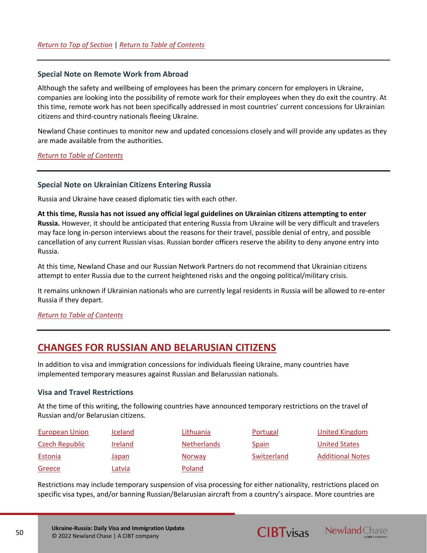#### <span id="page-49-0"></span>**Special Note on Remote Work from Abroad**

Although the safety and wellbeing of employees has been the primary concern for employers in Ukraine, companies are looking into the possibility of remote work for their employees when they do exit the country. At this time, remote work has not been specifically addressed in most countries' current concessions for Ukrainian citizens and third-country nationals fleeing Ukraine.

Newland Chase continues to monitor new and updated concessions closely and will provide any updates as they are made available from the authorities.

*[Return to Table of Contents](#page-2-0)*

#### <span id="page-49-1"></span>**Special Note on Ukrainian Citizens Entering Russia**

Russia and Ukraine have ceased diplomatic ties with each other.

**At this time, Russia has not issued any official legal guidelines on Ukrainian citizens attempting to enter Russia.** However, it should be anticipated that entering Russia from Ukraine will be very difficult and travelers may face long in-person interviews about the reasons for their travel, possible denial of entry, and possible cancellation of any current Russian visas. Russian border officers reserve the ability to deny anyone entry into Russia.

At this time, Newland Chase and our Russian Network Partners do not recommend that Ukrainian citizens attempt to enter Russia due to the current heightened risks and the ongoing political/military crisis.

It remains unknown if Ukrainian nationals who are currently legal residents in Russia will be allowed to re-enter Russia if they depart.

## *[Return to Table of Contents](#page-2-0)*

## <span id="page-49-2"></span>**CHANGES FOR RUSSIAN AND BELARUSIAN CITIZENS**

In addition to visa and immigration concessions for individuals fleeing Ukraine, many countries have implemented temporary measures against Russian and Belarussian nationals.

#### <span id="page-49-3"></span>**Visa and Travel Restrictions**

At the time of this writing, the following countries have announced temporary restrictions on the travel of Russian and/or Belarusian citizens.

| <b>European Union</b> | <b>Iceland</b> | Lithuania          | Portugal     | United Kingdom          |
|-----------------------|----------------|--------------------|--------------|-------------------------|
| Czech Republic        | Ireland        | <b>Netherlands</b> | <b>Spain</b> | <b>United States</b>    |
| Estonia               | Japan          | <b>Norway</b>      | Switzerland  | <b>Additional Notes</b> |
| Greece                | Latvia         | Poland             |              |                         |

Restrictions may include temporary suspension of visa processing for either nationality, restrictions placed on specific visa types, and/or banning Russian/Belarusian aircraft from a country's airspace. More countries are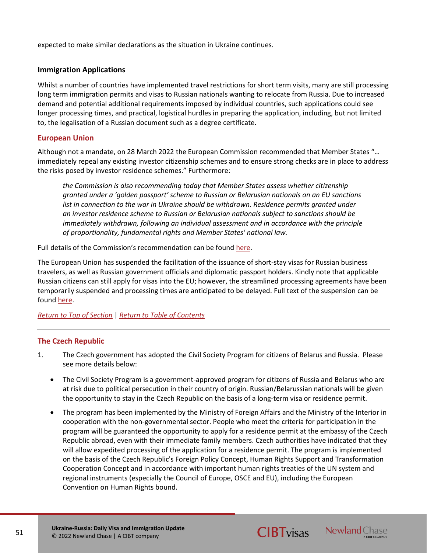expected to make similar declarations as the situation in Ukraine continues.

## **Immigration Applications**

Whilst a number of countries have implemented travel restrictions for short term visits, many are still processing long term immigration permits and visas to Russian nationals wanting to relocate from Russia. Due to increased demand and potential additional requirements imposed by individual countries, such applications could see longer processing times, and practical, logistical hurdles in preparing the application, including, but not limited to, the legalisation of a Russian document such as a degree certificate.

## <span id="page-50-0"></span>**European Union**

Although not a mandate, on 28 March 2022 the European Commission recommended that Member States "… immediately repeal any existing investor citizenship schemes and to ensure strong checks are in place to address the risks posed by investor residence schemes." Furthermore:

*the Commission is also recommending today that Member States assess whether citizenship granted under a 'golden passport' scheme to Russian or Belarusian nationals on an EU sanctions list in connection to the war in Ukraine should be withdrawn. Residence permits granted under an investor residence scheme to Russian or Belarusian nationals subject to sanctions should be immediately withdrawn, following an individual assessment and in accordance with the principle of proportionality, fundamental rights and Member States' national law.*

Full details of the Commission's recommendation can be found [here.](https://ec.europa.eu/commission/presscorner/detail/en/ip_22_1731)

The European Union has suspended the facilitation of the issuance of short-stay visas for Russian business travelers, as well as Russian government officials and diplomatic passport holders. Kindly note that applicable Russian citizens can still apply for visas into the EU; however, the streamlined processing agreements have been temporarily suspended and processing times are anticipated to be delayed. Full text of the suspension can be found [here.](https://eur-lex.europa.eu/legal-content/EN/TXT/?uri=CELEX:32022D0333)

## *[Return to Top of Section](#page-49-3)* | *[Return to Table of Contents](#page-2-0)*

## <span id="page-50-1"></span>**The Czech Republic**

- 1. The Czech government has adopted the Civil Society Program for citizens of Belarus and Russia. Please see more details below:
	- The Civil Society Program is a government-approved program for citizens of Russia and Belarus who are at risk due to political persecution in their country of origin. Russian/Belarussian nationals will be given the opportunity to stay in the Czech Republic on the basis of a long-term visa or residence permit.
	- The program has been implemented by the Ministry of Foreign Affairs and the Ministry of the Interior in cooperation with the non-governmental sector. People who meet the criteria for participation in the program will be guaranteed the opportunity to apply for a residence permit at the embassy of the Czech Republic abroad, even with their immediate family members. Czech authorities have indicated that they will allow expedited processing of the application for a residence permit. The program is implemented on the basis of the Czech Republic's Foreign Policy Concept, Human Rights Support and Transformation Cooperation Concept and in accordance with important human rights treaties of the UN system and regional instruments (especially the Council of Europe, OSCE and EU), including the European Convention on Human Rights bound.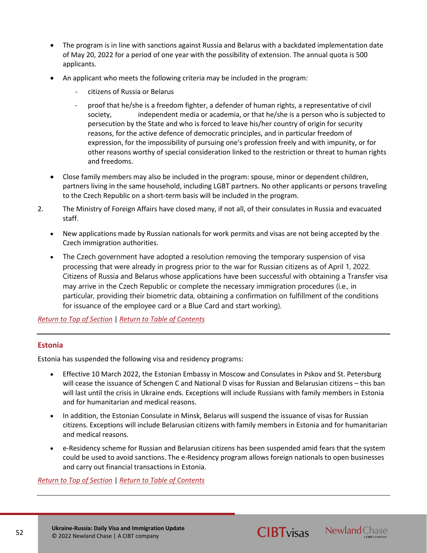- The program is in line with sanctions against Russia and Belarus with a backdated implementation date of May 20, 2022 for a period of one year with the possibility of extension. The annual quota is 500 applicants.
- An applicant who meets the following criteria may be included in the program:
	- citizens of Russia or Belarus
	- proof that he/she is a freedom fighter, a defender of human rights, a representative of civil society, independent media or academia, or that he/she is a person who is subjected to persecution by the State and who is forced to leave his/her country of origin for security reasons, for the active defence of democratic principles, and in particular freedom of expression, for the impossibility of pursuing one's profession freely and with impunity, or for other reasons worthy of special consideration linked to the restriction or threat to human rights and freedoms.
- Close family members may also be included in the program: spouse, minor or dependent children, partners living in the same household, including LGBT partners. No other applicants or persons traveling to the Czech Republic on a short-term basis will be included in the program.
- 2. The Ministry of Foreign Affairs have closed many, if not all, of their consulates in Russia and evacuated staff.
	- New applications made by Russian nationals for work permits and visas are not being accepted by the Czech immigration authorities.
	- The Czech government have adopted a resolution removing the temporary suspension of visa processing that were already in progress prior to the war for Russian citizens as of April 1, 2022. Citizens of Russia and Belarus whose applications have been successful with obtaining a Transfer visa may arrive in the Czech Republic or complete the necessary immigration procedures (i.e., in particular, providing their biometric data, obtaining a confirmation on fulfillment of the conditions for issuance of the employee card or a Blue Card and start working).

*[Return to Top of Section](#page-49-3)* | *[Return to Table of Contents](#page-2-0)*

## <span id="page-51-0"></span>**Estonia**

Estonia has suspended the following visa and residency programs:

- Effective 10 March 2022, the Estonian Embassy in Moscow and Consulates in Pskov and St. Petersburg will cease the issuance of Schengen C and National D visas for Russian and Belarusian citizens – this ban will last until the crisis in Ukraine ends. Exceptions will include Russians with family members in Estonia and for humanitarian and medical reasons.
- In addition, the Estonian Consulate in Minsk, Belarus will suspend the issuance of visas for Russian citizens. Exceptions will include Belarusian citizens with family members in Estonia and for humanitarian and medical reasons.
- e-Residency scheme for Russian and Belarusian citizens has been suspended amid fears that the system could be used to avoid sanctions. The e-Residency program allows foreign nationals to open businesses and carry out financial transactions in Estonia.

**CIBT**visas Newland Chase

*[Return to Top of Section](#page-49-3)* | *[Return to Table of Contents](#page-2-0)*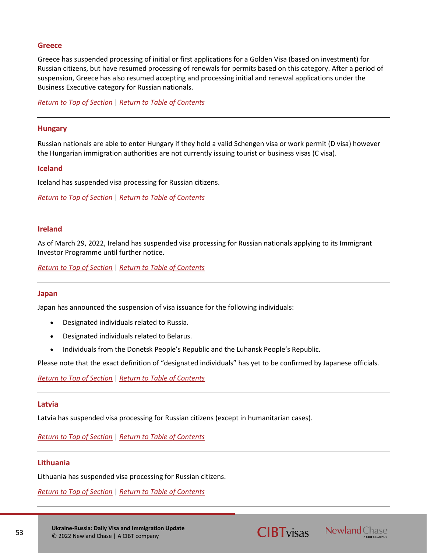## <span id="page-52-4"></span>**Greece**

Greece has suspended processing of initial or first applications for a Golden Visa (based on investment) for Russian citizens, but have resumed processing of renewals for permits based on this category. After a period of suspension, Greece has also resumed accepting and processing initial and renewal applications under the Business Executive category for Russian nationals.

*[Return to Top of Section](#page-49-3)* | *[Return to Table of Contents](#page-2-0)*

#### **Hungary**

Russian nationals are able to enter Hungary if they hold a valid Schengen visa or work permit (D visa) however the Hungarian immigration authorities are not currently issuing tourist or business visas (C visa).

### <span id="page-52-0"></span>**Iceland**

Iceland has suspended visa processing for Russian citizens.

*[Return to Top of Section](#page-49-3)* | *[Return to Table of Contents](#page-2-0)*

#### <span id="page-52-2"></span>**Ireland**

As of March 29, 2022, Ireland has suspended visa processing for Russian nationals applying to its Immigrant Investor Programme until further notice.

*[Return to Top of Section](#page-49-3)* | *[Return to Table of Contents](#page-2-0)*

#### <span id="page-52-3"></span>**Japan**

Japan has announced the suspension of visa issuance for the following individuals:

- Designated individuals related to Russia.
- Designated individuals related to Belarus.
- Individuals from the Donetsk People's Republic and the Luhansk People's Republic.

Please note that the exact definition of "designated individuals" has yet to be confirmed by Japanese officials.

*[Return to Top of Section](#page-49-3)* | *[Return to Table of Contents](#page-2-0)*

#### <span id="page-52-5"></span>**Latvia**

Latvia has suspended visa processing for Russian citizens (except in humanitarian cases).

*[Return to Top of Section](#page-49-3)* | *[Return to Table of Contents](#page-2-0)*

#### <span id="page-52-1"></span>**Lithuania**

Lithuania has suspended visa processing for Russian citizens.

*[Return to Top of Section](#page-49-3)* | *[Return to Table of Contents](#page-2-0)*



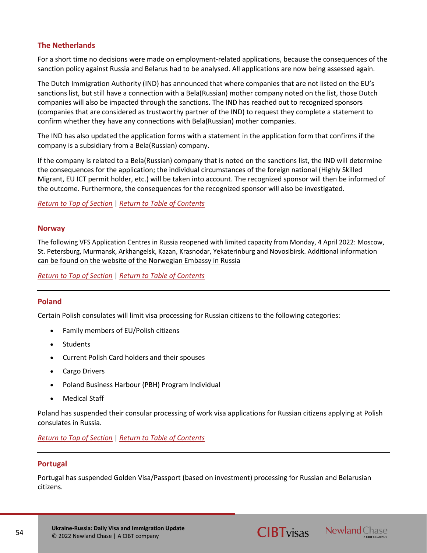## <span id="page-53-1"></span>**The Netherlands**

For a short time no decisions were made on employment-related applications, because the consequences of the sanction policy against Russia and Belarus had to be analysed. All applications are now being assessed again.

The Dutch Immigration Authority (IND) has announced that where companies that are not listed on the EU's sanctions list, but still have a connection with a Bela(Russian) mother company noted on the list, those Dutch companies will also be impacted through the sanctions. The IND has reached out to recognized sponsors (companies that are considered as trustworthy partner of the IND) to request they complete a statement to confirm whether they have any connections with Bela(Russian) mother companies.

The IND has also updated the application forms with a statement in the application form that confirms if the company is a subsidiary from a Bela(Russian) company.

If the company is related to a Bela(Russian) company that is noted on the sanctions list, the IND will determine the consequences for the application; the individual circumstances of the foreign national (Highly Skilled Migrant, EU ICT permit holder, etc.) will be taken into account. The recognized sponsor will then be informed of the outcome. Furthermore, the consequences for the recognized sponsor will also be investigated.

*[Return to Top of Section](#page-49-3)* | *[Return to Table of Contents](#page-2-0)*

### <span id="page-53-2"></span>**Norway**

The following VFS Application Centres in Russia reopened with limited capacity from Monday, 4 April 2022: Moscow, St. Petersburg, Murmansk, Arkhangelsk, Kazan, Krasnodar, Yekaterinburg and Novosibirsk. Additional information [can be found on the website of the Norwegian Embassy in Russia](https://www.norway.no/ru/russia/service-info/visitors-visa-res-permit/) 

*[Return to Top of Section](#page-49-3)* | *[Return to Table of Contents](#page-2-0)*

## **Poland**

Certain Polish consulates will limit visa processing for Russian citizens to the following categories:

- Family members of EU/Polish citizens
- **Students**
- Current Polish Card holders and their spouses
- Cargo Drivers
- Poland Business Harbour (PBH) Program Individual
- **Medical Staff**

Poland has suspended their consular processing of work visa applications for Russian citizens applying at Polish consulates in Russia.

*[Return to Top of Section](#page-49-3)* | *[Return to Table of Contents](#page-2-0)*

## <span id="page-53-0"></span>**Portugal**

Portugal has suspended Golden Visa/Passport (based on investment) processing for Russian and Belarusian citizens.

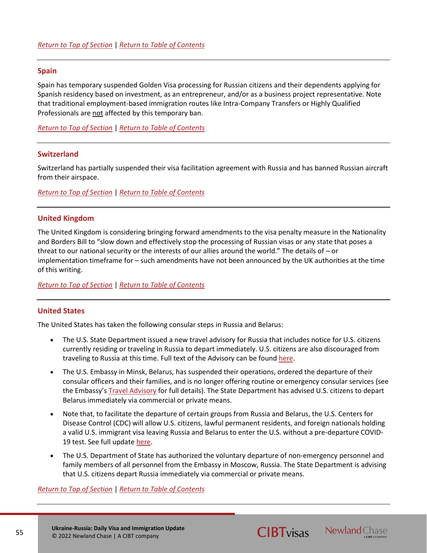#### <span id="page-54-1"></span>**Spain**

Spain has temporary suspended Golden Visa processing for Russian citizens and their dependents applying for Spanish residency based on investment, as an entrepreneur, and/or as a business project representative. Note that traditional employment-based immigration routes like Intra-Company Transfers or Highly Qualified Professionals are not affected by this temporary ban.

*[Return to Top of Section](#page-49-3)* | *[Return to Table of Contents](#page-2-0)*

#### **Switzerland**

Switzerland has partially suspended their visa facilitation agreement with Russia and has banned Russian aircraft from their airspace.

*[Return to Top of Section](#page-49-3)* | *[Return to Table of Contents](#page-2-0)*

## <span id="page-54-0"></span>**United Kingdom**

The United Kingdom is considering bringing forward amendments to the visa penalty measure in the Nationality and Borders Bill to "slow down and effectively stop the processing of Russian visas or any state that poses a threat to our national security or the interests of our allies around the world." The details of – or implementation timeframe for – such amendments have not been announced by the UK authorities at the time of this writing.

*[Return to Top of Section](#page-49-3)* | *[Return to Table of Contents](#page-2-0)*

#### <span id="page-54-2"></span>**United States**

The United States has taken the following consular steps in Russia and Belarus:

- The U.S. State Department issued a new travel advisory for Russia that includes notice for U.S. citizens currently residing or traveling in Russia to depart immediately. U.S. citizens are also discouraged from traveling to Russia at this time. Full text of the Advisory can be found [here.](https://travel.state.gov/content/travel/en/traveladvisories/traveladvisories/russia-travel-advisory.html)
- The U.S. Embassy in Minsk, Belarus, has suspended their operations, ordered the departure of their consular officers and their families, and is no longer offering routine or emergency consular services (see the Embassy's [Travel Advisory](https://by.usembassy.gov/belarus-level-4-do-not-travel-o-k-h-u-t/) for full details). The State Department has advised U.S. citizens to depart Belarus immediately via commercial or private means.
- Note that, to facilitate the departure of certain groups from Russia and Belarus, the U.S. Centers for Disease Control (CDC) will allow U.S. citizens, lawful permanent residents, and foreign nationals holding a valid U.S. immigrant visa leaving Russia and Belarus to enter the U.S. without a pre-departure COVID-19 test. See full updat[e here.](https://www.cdc.gov/quarantine/fr-proof-negative-test.html)
- The U.S. Department of State has authorized the voluntary departure of non-emergency personnel and family members of all personnel from the Embassy in Moscow, Russia. The State Department is advising that U.S. citizens depart Russia immediately via commercial or private means.

**CIBT**visas Newland Chase

*[Return to Top of Section](#page-49-3)* | *[Return to Table of Contents](#page-2-0)*